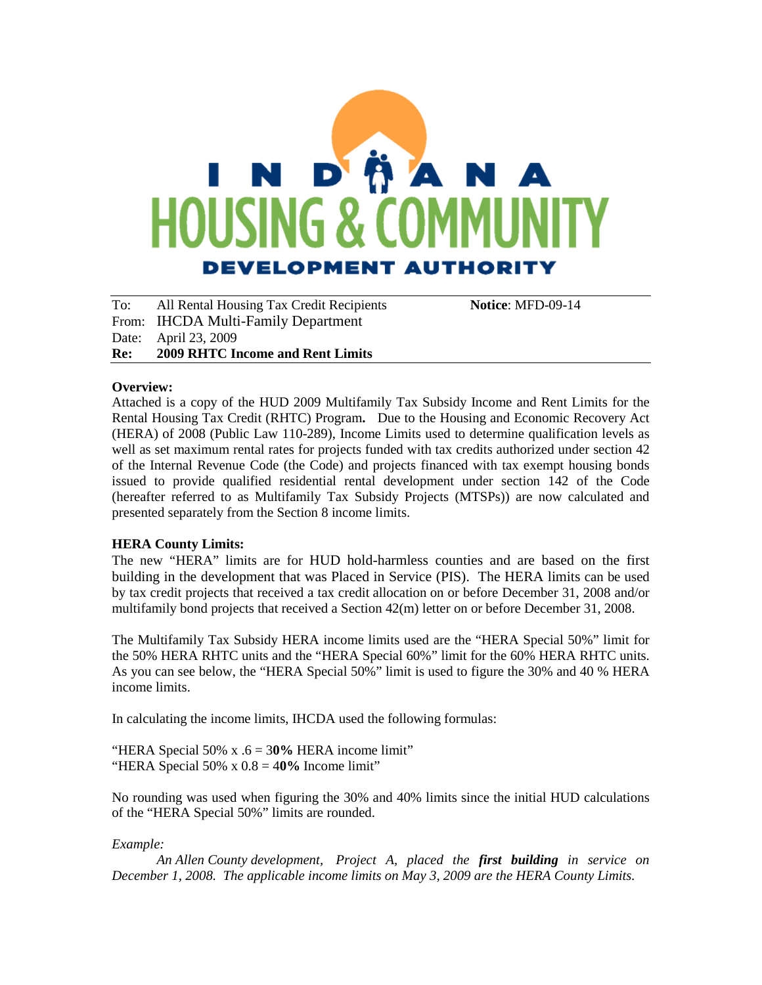# I N D MA N A **HOUSING & DEVELOPMENT AUTHORITY**

To: All Rental Housing Tax Credit Recipients **Notice**: MFD-09-14 From: IHCDA Multi-Family Department Date: April 23, 2009 **Re: 2009 RHTC Income and Rent Limits** 

#### **Overview:**

Attached is a copy of the HUD 2009 Multifamily Tax Subsidy Income and Rent Limits for the Rental Housing Tax Credit (RHTC) Program**.** Due to the Housing and Economic Recovery Act (HERA) of 2008 (Public Law 110-289), Income Limits used to determine qualification levels as well as set maximum rental rates for projects funded with tax credits authorized under section 42 of the Internal Revenue Code (the Code) and projects financed with tax exempt housing bonds issued to provide qualified residential rental development under section 142 of the Code (hereafter referred to as Multifamily Tax Subsidy Projects (MTSPs)) are now calculated and presented separately from the Section 8 income limits.

#### **HERA County Limits:**

The new "HERA" limits are for HUD hold-harmless counties and are based on the first building in the development that was Placed in Service (PIS). The HERA limits can be used by tax credit projects that received a tax credit allocation on or before December 31, 2008 and/or multifamily bond projects that received a Section 42(m) letter on or before December 31, 2008.

The Multifamily Tax Subsidy HERA income limits used are the "HERA Special 50%" limit for the 50% HERA RHTC units and the "HERA Special 60%" limit for the 60% HERA RHTC units. As you can see below, the "HERA Special 50%" limit is used to figure the 30% and 40 % HERA income limits.

In calculating the income limits, IHCDA used the following formulas:

"HERA Special 50% x .6 = 3**0%** HERA income limit" "HERA Special 50% x 0.8 = 4**0%** Income limit"

No rounding was used when figuring the 30% and 40% limits since the initial HUD calculations of the "HERA Special 50%" limits are rounded.

#### *Example:*

*An Allen County development, Project A, placed the first building in service on December 1, 2008. The applicable income limits on May 3, 2009 are the HERA County Limits.*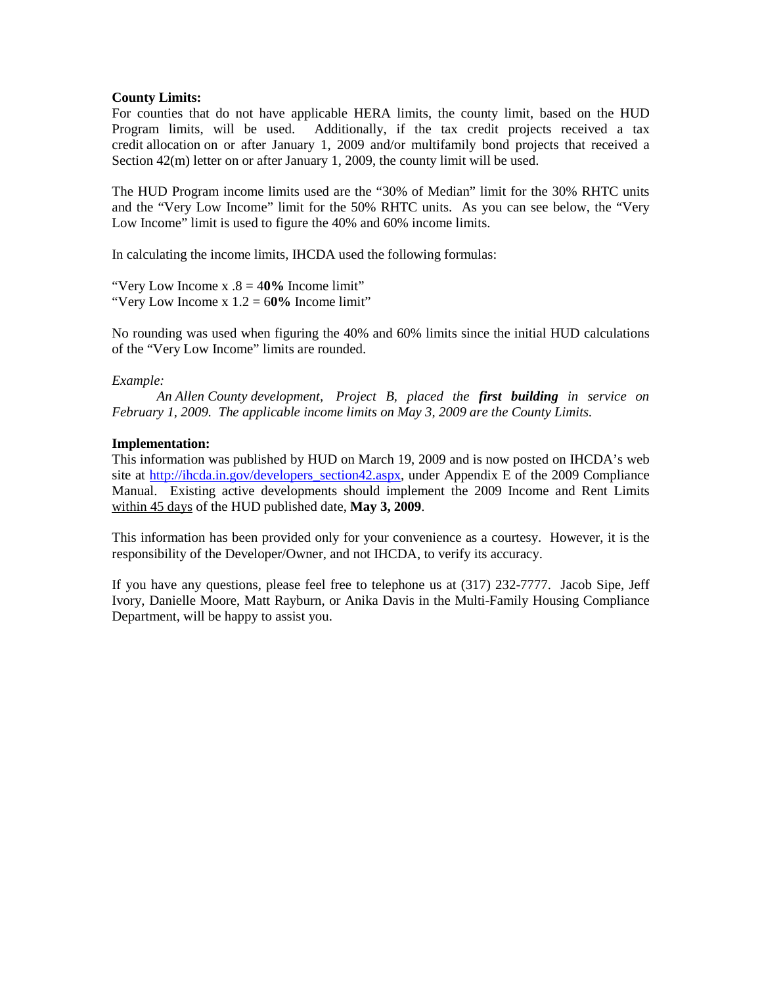#### **County Limits:**

For counties that do not have applicable HERA limits, the county limit, based on the HUD Program limits, will be used. Additionally, if the tax credit projects received a tax credit allocation on or after January 1, 2009 and/or multifamily bond projects that received a Section  $42(m)$  letter on or after January 1, 2009, the county limit will be used.

The HUD Program income limits used are the "30% of Median" limit for the 30% RHTC units and the "Very Low Income" limit for the 50% RHTC units. As you can see below, the "Very Low Income" limit is used to figure the 40% and 60% income limits.

In calculating the income limits, IHCDA used the following formulas:

"Very Low Income x .8 = 4**0%** Income limit" "Very Low Income x 1.2 = 6**0%** Income limit"

No rounding was used when figuring the 40% and 60% limits since the initial HUD calculations of the "Very Low Income" limits are rounded.

#### *Example:*

*An Allen County development, Project B, placed the first building in service on February 1, 2009. The applicable income limits on May 3, 2009 are the County Limits.*

#### **Implementation:**

This information was published by HUD on March 19, 2009 and is now posted on IHCDA's web site at [http://ihcda.in.gov/developers\\_section42.aspx,](http://ihcda.in.gov/developers_section42.aspx) under Appendix E of the 2009 Compliance Manual. Existing active developments should implement the 2009 Income and Rent Limits within 45 days of the HUD published date, **May 3, 2009**.

This information has been provided only for your convenience as a courtesy. However, it is the responsibility of the Developer/Owner, and not IHCDA, to verify its accuracy.

If you have any questions, please feel free to telephone us at (317) 232-7777. Jacob Sipe, Jeff Ivory, Danielle Moore, Matt Rayburn, or Anika Davis in the Multi-Family Housing Compliance Department, will be happy to assist you.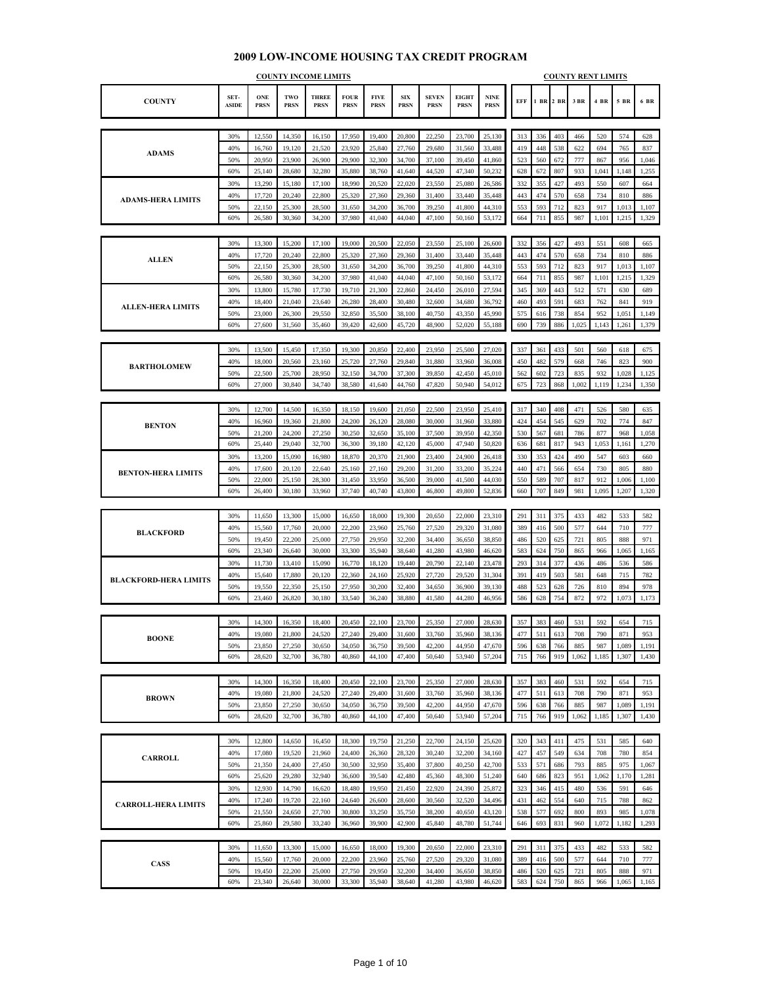#### **COUNTY SET-ASIDE ONE PRSN TWO PRSN THREE PRSN FOUR PRSN FIVE PRSN SIX PRSN SEVEN PRSN EIGHT PRSN NINE PRSN EFF 1 BR 2 BR 3 BR 4 BR 5 BR 6 BR** 30% 12,550 14,350 16,150 17,950 19,400 20,800 22,250 23,700 25,130 313 336 403 466 520 574 628 40% | 16,760 | 19,120 | 21,520 | 23,920 | 25,840 | 27,760 | 29,680 | 31,560 | 33,488 | | 419 | 448 | 538 | 622 | 694 | 765 | 837 50% 20,950 23,900 26,900 29,900 32,300 34,700 37,100 39,450 41,860 523 560 672 777 867 956 1,046 60% 25,140 28,680 32,280 35,880 38,760 41,640 44,520 47,340 50,232 628 672 807 933 1,041 1,148 1,255 30% | 13,290 | 15,180 | 17,100 | 18,990 | 20,520 | 22,020 | 23,550 | 25,080 | 26,586 | | 332 | 355 | 427 | 493 | 550 | 607 | 664 40% 17,720 20,240 22,800 25,320 27,360 29,360 31,400 33,440 35,448 443 474 570 658 734 810 886 50% 22,150 25,300 28,500 31,650 34,200 36,700 39,250 41,800 44,310 553 593 712 823 917 1,013 1,107 60% 26,580 30,360 34,200 37,980 41,040 44,040 47,100 50,160 53,172 664 711 855 987 1,101 1,215 1,329 30% | 13,300 | 15,200 | 17,100 | 19,000 | 20,500 | 22,050 | 23,550 | 25,100 | 26,600 | 332 | 356 | 427 | 493 | 551 | 608 | 665 40% | 17,720 | 20,240 | 22,800 | 25,320 | 27,360 | 29,360 | 31,400 | 33,440 | 35,448 | | 443 | 474 | 570 | 658 | 734 | 810 | 886 50% 22,150 25,300 28,500 31,650 34,200 36,700 39,250 41,800 44,310 553 593 712 823 917 1,013 1,107 60% 26,580 30,360 34,200 37,980 41,040 44,040 47,100 50,160 53,172 664 711 855 987 1,101 1,215 1,329 30% | 13,800 | 15,780 | 17,730 | 19,710 | 21,300 | 22,860 | 24,450 | 26,010 | 27,594 | | 345 | 369 | 443 | 512 | 571 | 630 | 689 40% | 18,400 | 21,040 | 23,640 | 26,280 | 28,400 | 30,480 | 32,600 | 34,680 | 36,792 | | 460 | 493 | 591 | 683 | 762 | 841 | 919 50% 23,000 26,300 29,550 32,850 35,500 38,100 40,750 43,350 45,990 575 616 738 854 952 1,051 1,149 60% 27,600 31,560 35,460 39,420 42,600 45,720 48,900 52,020 55,188 690 739 886 1,025 1,143 1,261 1,379 30% | 13,500 | 15,450 | 17,350 | 19,300 | 20,850 | 22,400 | 23,950 | 25,500 | 27,020 | 337 | 361 | 433 | 501 | 560 | 618 | 675 40% | 18,000 | 20,560 | 23,160 | 25,720 | 27,760 | 29,840 | 31,880 | 33,960 | 36,008 | | 450 | 482 | 579 | 668 | 746 | 823 | 900 50% 22,500 25,700 28,950 32,150 34,700 37,300 39,850 42,450 45,010 562 602 723 835 932 1,028 1,125 60% 27,000 30,840 34,740 38,580 41,640 44,760 47,820 50,940 54,012 675 723 868 1,002 1,119 1,234 1,350 30% 12,700 14,500 16,350 18,150 19,600 21,050 22,500 23,950 25,410 317 340 408 471 526 580 635 40% | 16,960 | 19,360 | 21,800 | 24,200 | 26,120 | 28,080 | 30,000 | 31,960 | 33,880 | | 424 | 454 | 545 | 629 | 702 | 774 | 847 50% 21,200 24,200 27,250 30,250 32,650 35,100 37,500 39,950 42,350 530 567 681 786 877 968 1,058 60% 25,440 29,040 32,700 36,300 39,180 42,120 45,000 47,940 50,820 636 681 817 943 1,053 1,161 1,270 30% | 13,200 | 15,090 | 16,980 | 18,870 | 20,370 | 21,900 | 23,400 | 24,900 | 26,418 | | 330 | 353 | 424 | 490 | 547 | 603 | 660 40% | 17,600 | 20,120 | 22,640 | 25,160 | 27,160 | 29,200 | 31,200 | 33,200 | 35,224 | | 440 | 471 | 566 | 654 | 730 | 805 | 880 50% 22,000 25,150 28,300 31,450 33,950 36,500 39,000 41,500 44,030 550 589 707 817 912 1,006 1,100 60% 26,400 30,180 33,960 37,740 40,740 43,800 46,800 49,800 52,836 660 707 849 981 1,095 1,207 1,320 30% 11,650 13,300 15,000 16,650 18,000 19,300 20,650 22,000 23,310 291 311 375 433 482 533 582 40% | 15,560 | 17,760 | 20,000 | 22,200 | 23,960 | 25,760 | 27,520 | 29,320 | 31,080 | 389 | 416 | 500 | 577 | 644 | 710 | 777 50% | 19,450 | 22,200 | 25,000 | 27,750 | 29,950 | 32,200 | 34,400 | 36,650 | 38,850 | 486 | 520 | 625 | 721 | 805 | 888 | 971 60% 23,340 26,640 30,000 33,300 35,940 38,640 41,280 43,980 46,620 583 624 750 865 966 1,065 1,165 30% | 11,730 | 13,410 | 15,090 | 16,770 | 18,120 | 19,440 | 20,790 | 22,140 | 23,478 | | 293 | 314 | 377 | 436 | 486 | 536 | 586 40% | 15,640 | 17,880 | 20,120 | 22,360 | 24,160 | 25,920 | 27,720 | 29,520 | 31,304 | 391 | 419 | 503 | 581 | 648 | 715 | 782 50% 19,550 22,350 25,150 27,950 30,200 32,400 34,650 36,900 39,130 488 523 628 726 810 894 978 60% 23,460 26,820 30,180 33,540 36,240 38,880 41,580 44,280 46,956 586 628 754 872 972 1,073 1,173 30% | 14,300 | 16,350 | 18,400 | 20,450 | 22,100 | 23,700 | 25,350 | 27,000 | 28,630 | 357 | 383 | 460 | 531 | 592 | 654 | 715 40% | 19,080 | 21,800 | 24,520 | 27,240 | 29,400 | 31,600 | 33,760 | 35,960 | 38,136 | | 477 | 511 | 613 | 708 | 709 | 871 | 953 50% 23,850 27,250 30,650 34,050 36,750 39,500 42,200 44,950 47,670 596 638 766 885 987 1,089 1,191 60% 28,620 32,700 36,780 40,860 44,100 47,400 50,640 53,940 57,204 715 766 919 1,062 1,185 1,307 1,430 30% | 14,300 | 16,350 | 18,400 | 20,450 | 22,100 | 23,700 | 25,350 | 27,000 | 28,630 | 357 | 383 | 460 | 531 | 592 | 654 | 715 40% | 19,080 | 21,800 | 24,520 | 27,240 | 29,400 | 31,600 | 33,760 | 35,960 | 38,136 | 477 | 511 | 613 | 708 | 790 | 871 | 953 50% 23,850 27,250 30,650 34,050 36,750 39,500 42,200 44,950 47,670 596 638 766 885 987 1,089 1,191 60% 28,620 32,700 36,780 40,860 44,100 47,400 50,640 53,940 57,204 715 766 919 1,062 1,185 1,307 1,430 30% | 12,800 | 14,650 | 16,450 | 18,300 | 19,750 | 21,250 | 22,700 | 24,150 | 25,620 | 320 | 343 | 411 | 475 | 531 | 585 | 640 40% | 17,080 | 19,520 | 21,960 | 24,400 | 26,360 | 28,320 | 30,240 | 32,200 | 34,160 | 427 | 457 | 549 | 634 | 708 | 780 | 854 50% 21,350 24,400 27,450 30,500 32,950 35,400 37,800 40,250 42,700 533 571 686 793 885 975 1,067 60% 25,620 29,280 32,940 36,600 39,540 42,480 45,360 48,300 51,240 640 686 823 951 1,062 1,170 1,281 30% | 12,930 | 14,790 | 16,620 | 18,480 | 19,950 | 21,450 | 22,920 | 24,390 | 25,872 | | 323 | 346 | 415 | 480 | 536 | 591 | 646 40% 17,240 19,720 22,160 24,640 26,600 28,600 30,560 32,520 34,496 431 462 554 640 715 788 862 50% 21,550 24,650 27,700 30,800 33,250 35,750 38,200 40,650 43,120 538 577 692 800 893 985 1,078 60% 25,860 29,580 33,240 36,960 39,900 42,900 45,840 48,780 51,744 646 693 831 960 1,072 1,182 1,293 30% | 11,650 | 13,300 | 15,000 | 16,650 | 18,000 | 19,300 | 20,650 | 22,000 | 23,310 | | 291 | 311 | 375 | 433 | 482 | 533 | 582 40% | 15,560 | 17,760 | 20,000 | 22,200 | 23,960 | 25,760 | 27,520 | 29,320 | 31,080 | 389 | 416 | 500 | 577 | 644 | 710 | 777 **BLACKFORD BOONE BROWN CARROLL ALLEN-HERA LIMITS BENTON-HERA LIMITS BLACKFORD-HERA LIMITS CARROLL-HERA LIMITS COUNTY INCOME LIMITS ADAMS ALLEN BARTHOLOMEW BENTON CASS ADAMS-HERA LIMITS COUNTY RENT LIMITS**

50% 19,450 22,200 25,000 27,750 29,950 32,200 34,400 36,650 38,850 486 520 625 721 805 888 971 60% 23,340 26,640 30,000 33,300 35,940 38,640 41,280 43,980 46,620 583 624 750 865 966 1,065 1,165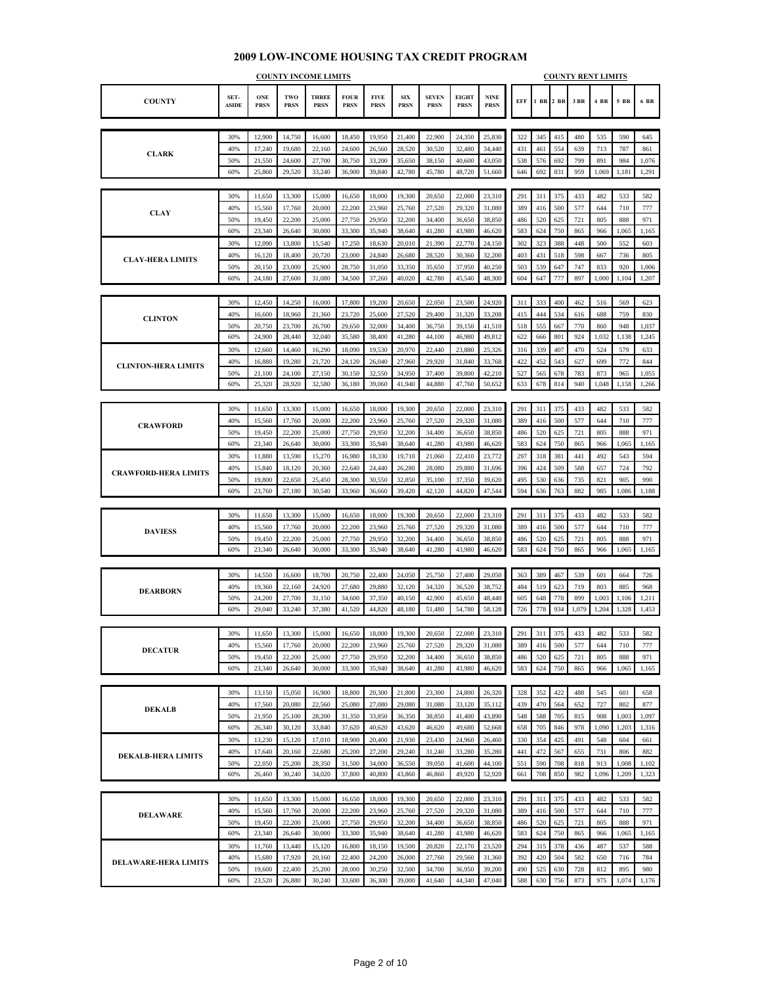|                             | <b>COUNTY INCOME LIMITS</b> |                           |                    |                             |                            |                            |                           |                             |                             |                            | <b>COUNTY RENT LIMITS</b> |            |            |            |              |              |                |  |  |
|-----------------------------|-----------------------------|---------------------------|--------------------|-----------------------------|----------------------------|----------------------------|---------------------------|-----------------------------|-----------------------------|----------------------------|---------------------------|------------|------------|------------|--------------|--------------|----------------|--|--|
| <b>COUNTY</b>               | SET-<br><b>ASIDE</b>        | <b>ONE</b><br><b>PRSN</b> | TWO<br><b>PRSN</b> | <b>THREE</b><br><b>PRSN</b> | <b>FOUR</b><br><b>PRSN</b> | <b>FIVE</b><br><b>PRSN</b> | <b>SIX</b><br><b>PRSN</b> | <b>SEVEN</b><br><b>PRSN</b> | <b>EIGHT</b><br><b>PRSN</b> | <b>NINE</b><br><b>PRSN</b> | EFF                       | 1 BR 2 BR  |            | 3 BR       | 4 BR         | 5 BR         | 6 BR           |  |  |
|                             |                             |                           |                    |                             |                            |                            |                           |                             |                             |                            |                           |            |            |            |              |              |                |  |  |
|                             | 30%<br>40%                  | 12,900<br>17,240          | 14,750<br>19,680   | 16,600<br>22,160            | 18,450<br>24,600           | 19,950<br>26,560           | 21,400                    | 22,900<br>30,520            | 24,350<br>32,480            | 25,830<br>34,440           | 322<br>431                | 345<br>461 | 415<br>554 | 480<br>639 | 535<br>713   | 590<br>787   | 645<br>861     |  |  |
| <b>CLARK</b>                | 50%                         | 21,550                    | 24,600             | 27,700                      | 30,750                     | 33,200                     | 28,520<br>35,650          | 38,150                      | 40,600                      | 43,050                     | 538                       | 576        | 692        | 799        | 891          | 984          | 1,076          |  |  |
|                             | 60%                         | 25,860                    | 29,520             | 33,240                      | 36,900                     | 39,840                     | 42,780                    | 45,780                      | 48,720                      | 51,660                     | 646                       | 692        | 831        | 959        | 1,069        | 1,181        | 1,291          |  |  |
|                             |                             |                           |                    |                             |                            |                            |                           |                             |                             |                            |                           |            |            |            |              |              |                |  |  |
|                             | 30%                         | 11,650                    | 13,300             | 15,000                      | 16,650                     | 18,000                     | 19,300                    | 20,650                      | 22,000                      | 23,310                     | 291                       | 311        | 375        | 433        | 482          | 533          | 582            |  |  |
| <b>CLAY</b>                 | 40%                         | 15,560                    | 17,760             | 20,000                      | 22,200                     | 23,960                     | 25,760                    | 27,520                      | 29,320                      | 31,080                     | 389                       | 416        | 500        | 577        | 644          | 710          | 777            |  |  |
|                             | 50%                         | 19,450                    | 22,200             | 25,000                      | 27,750                     | 29,950                     | 32,200                    | 34,400                      | 36,650                      | 38,850                     | 486                       | 520        | 625        | 721        | 805          | 888          | 971            |  |  |
|                             | 60%                         | 23,340                    | 26,640             | 30,000                      | 33,300                     | 35,940                     | 38,640                    | 41,280                      | 43,980                      | 46,620                     | 583                       | 624        | 750        | 865        | 966          | 1,065        | 1,165          |  |  |
|                             | 30%                         | 12,090                    | 13,800             | 15,540                      | 17,250                     | 18,630                     | 20,010                    | 21,390                      | 22,770                      | 24,150                     | 302                       | 323        | 388        | 448        | 500          | 552          | 603            |  |  |
| <b>CLAY-HERA LIMITS</b>     | 40%                         | 16,120                    | 18,400             | 20,720                      | 23,000                     | 24,840                     | 26,680                    | 28,520                      | 30,360                      | 32,200                     | 403                       | 431        | 518        | 598        | 667          | 736<br>920   | 805            |  |  |
|                             | 50%<br>60%                  | 20,150<br>24,180          | 23,000<br>27,600   | 25,900<br>31,080            | 28,750<br>34,500           | 31,050<br>37,260           | 33,350<br>40,020          | 35,650<br>42,780            | 37,950<br>45,540            | 40,250<br>48,300           | 503<br>604                | 539<br>647 | 647<br>777 | 747<br>897 | 833<br>1,000 | 1,104        | 1,006<br>1,207 |  |  |
|                             |                             |                           |                    |                             |                            |                            |                           |                             |                             |                            |                           |            |            |            |              |              |                |  |  |
|                             | 30%                         | 12,450                    | 14,250             | 16,000                      | 17,800                     | 19,200                     | 20,650                    | 22,050                      | 23,500                      | 24,920                     | 311                       | 333        | 400        | 462        | 516          | 569          | 623            |  |  |
| <b>CLINTON</b>              | 40%                         | 16,600                    | 18,960             | 21,360                      | 23,720                     | 25,600                     | 27,520                    | 29,400                      | 31,320                      | 33,208                     | 415                       | 444        | 534        | 616        | 688          | 759          | 830            |  |  |
|                             | 50%                         | 20,750                    | 23,700             | 26,700                      | 29,650                     | 32,000                     | 34,400                    | 36,750                      | 39,150                      | 41,510                     | 518                       | 555        | 667        | 770        | 860          | 948          | 1,037          |  |  |
|                             | 60%                         | 24,900                    | 28,440             | 32,040                      | 35,580                     | 38,400                     | 41,280                    | 44,100                      | 46,980                      | 49,812                     | 622                       | 666        | 801        | 924        | 1,032        | 1,138        | 1,245          |  |  |
|                             | 30%                         | 12,660                    | 14,460             | 16,290                      | 18,090                     | 19,530                     | 20,970                    | 22,440                      | 23,880                      | 25,326                     | 316                       | 339        | 407        | 470        | 524          | 579          | 633            |  |  |
| <b>CLINTON-HERA LIMITS</b>  | 40%                         | 16,880                    | 19,280             | 21,720                      | 24,120                     | 26,040                     | 27,960                    | 29,920                      | 31,840                      | 33,768                     | 422                       | 452        | 543        | 627        | 699          | 772          | 844            |  |  |
|                             | 50%<br>60%                  | 21,100<br>25,320          | 24,100<br>28,920   | 27,150<br>32,580            | 30,150<br>36,180           | 32,550<br>39,060           | 34,950<br>41,940          | 37,400<br>44,880            | 39,800<br>47,760            | 42,210<br>50,652           | 527<br>633                | 565<br>678 | 678<br>814 | 783<br>940 | 873<br>1,048 | 965<br>1,158 | 1,055<br>1,266 |  |  |
|                             |                             |                           |                    |                             |                            |                            |                           |                             |                             |                            |                           |            |            |            |              |              |                |  |  |
|                             | 30%                         | 11,650                    | 13,300             | 15,000                      | 16,650                     | 18,000                     | 19,300                    | 20,650                      | 22,000                      | 23,310                     | 291                       | 311        | 375        | 433        | 482          | 533          | 582            |  |  |
|                             | 40%                         | 15,560                    | 17,760             | 20,000                      | 22,200                     | 23,960                     | 25,760                    | 27,520                      | 29,320                      | 31,080                     | 389                       | 416        | 500        | 577        | 644          | 710          | 777            |  |  |
| <b>CRAWFORD</b>             | 50%                         | 19,450                    | 22,200             | 25,000                      | 27,750                     | 29,950                     | 32,200                    | 34,400                      | 36,650                      | 38,850                     | 486                       | 520        | 625        | 721        | 805          | 888          | 971            |  |  |
|                             | 60%                         | 23,340                    | 26,640             | 30,000                      | 33,300                     | 35,940                     | 38,640                    | 41,280                      | 43,980                      | 46,620                     | 583                       | 624        | 750        | 865        | 966          | 1,065        | 1,165          |  |  |
| <b>CRAWFORD-HERA LIMITS</b> | 30%                         | 11,880                    | 13,590             | 15,270                      | 16,980                     | 18,330                     | 19,710                    | 21,060                      | 22,410                      | 23,772                     | 297                       | 318        | 381        | 441        | 492          | 543          | 594            |  |  |
|                             | 40%                         | 15,840                    | 18,120             | 20,360                      | 22,640                     | 24,440                     | 26,280                    | 28,080                      | 29,880                      | 31,696                     | 396                       | 424        | 509        | 588        | 657          | 724          | 792            |  |  |
|                             | 50%                         | 19.800                    | 22,650             | 25,450                      | 28,300                     | 30,550                     | 32,850                    | 35,100                      | 37,350                      | 39,620                     | 495                       | 530        | 636        | 735        | 821          | 905          | 990            |  |  |
|                             | 60%                         | 23,760                    | 27,180             | 30,540                      | 33,960                     | 36,660                     | 39,420                    | 42,120                      | 44,820                      | 47,544                     | 594                       | 636        | 763        | 882        | 985          | 1,086        | 1,188          |  |  |
|                             | 30%                         | 11,650                    | 13,300             | 15,000                      | 16,650                     | 18,000                     | 19,300                    | 20,650                      | 22,000                      | 23,310                     | 291                       | 311        | 375        | 433        | 482          | 533          | 582            |  |  |
|                             | 40%                         | 15,560                    | 17,760             | 20,000                      | 22,200                     | 23,960                     | 25,760                    | 27,520                      | 29,320                      | 31,080                     | 389                       | 416        | 500        | 577        | 644          | 710          | 777            |  |  |
| <b>DAVIESS</b>              | 50%                         | 19,450                    | 22,200             | 25,000                      | 27,750                     | 29,950                     | 32,200                    | 34,400                      | 36,650                      | 38,850                     | 486                       | 520        | 625        | 721        | 805          | 888          | 971            |  |  |
|                             | 60%                         | 23,340                    | 26,640             | 30,000                      | 33,300                     | 35,940                     | 38,640                    | 41,280                      | 43,980                      | 46,620                     | 583                       | 624        | 750        | 865        | 966          | 1,065        | 1,165          |  |  |
|                             |                             |                           |                    |                             |                            |                            |                           |                             |                             |                            |                           |            |            |            |              |              |                |  |  |
|                             | 30%                         | 14,550                    | 16,600             | 18,700                      | 20,750                     | 22,400                     | 24,050                    | 25,750                      | 27,400                      | 29,050                     | 363                       | 389        | 467        | 539        | 601          | 664          | 726            |  |  |
| <b>DEARBORN</b>             | 40%                         | 19,360                    | 22,160             | 24,920                      | 27,680                     | 29,880                     | 32,120                    | 34,320                      | 36,520                      | 38,752                     | 484                       | 519        | 623        | 719        | 803          | 885          | 968            |  |  |
|                             | 50%                         | 24,200                    | 27,700             | 31,150                      | 34,600                     | 37,350                     | 40,150                    | 42,900                      | 45,650                      | 48,440                     | 605                       | 648        | 778        | 899        | 1,003        | 1,106        | 1,211          |  |  |
|                             | 60%                         | 29,040                    | 33,240             | 37,380                      | 41,520                     | 44,820                     | 48,180                    | 51,480                      | 54,780                      | 58,128                     | 726                       | 778        | 934        | 1,079      | 1,204        | 1,328        | 1,453          |  |  |
|                             | 30%                         | 11,650                    | 13,300             | 15,000                      | 16,650                     | 18,000                     | 19,300                    | 20,650                      | 22,000                      | 23,310                     | 291                       | 311        | 375        | 433        | 482          | 533          | 582            |  |  |
|                             | 40%                         | 15,560                    | 17,760             | 20,000                      | 22,200                     | 23,960                     | 25,760                    | 27,520                      | 29,320                      | 31,080                     | 389                       | 416        | 500        | 577        | 644          | 710          | 777            |  |  |
| <b>DECATUR</b>              | 50%                         | 19,450                    | 22,200             | 25,000                      | 27,750                     | 29,950                     | 32,200                    | 34,400                      | 36,650                      | 38,850                     | 486                       | 520        | 625        | 721        | 805          | 888          | 971            |  |  |
|                             | 60%                         | 23,340                    | 26,640             | 30,000                      | 33,300                     | 35,940                     | 38,640                    | 41,280                      | 43,980                      | 46,620                     | 583                       | 624        | 750        | 865        | 966          | 1,065        | 1,165          |  |  |
|                             |                             |                           |                    |                             |                            |                            |                           |                             |                             |                            |                           |            |            |            |              |              |                |  |  |
|                             | 30%                         | 13,150                    | 15,050             | 16,900                      | 18,800                     | 20,300                     | 21,800                    | 23,300                      | 24,800                      | 26,320                     | 328                       | 352        | 422        | 488        | 545          | 601          | 658            |  |  |
| <b>DEKALB</b>               | 40%                         | 17,560                    | 20,080             | 22,560                      | 25,080                     | 27,080                     | 29,080                    | 31,080                      | 33,120                      | 35,112                     | 439                       | 470        | 564        | 652        | 727          | 802          | 877            |  |  |
|                             | 50%                         | 21,950                    | 25,100             | 28,200                      | 31,350                     | 33,850                     | 36,350                    | 38,850                      | 41,400                      | 43,890                     | 548                       | 588        | 705        | 815        | 908          | 1,003        | 1,097          |  |  |
|                             | 60%<br>30%                  | 26,340<br>13,230          | 30,120<br>15,120   | 33,840<br>17,010            | 37,620<br>18,900           | 40,620<br>20,400           | 43,620<br>21,930          | 46,620<br>23,430            | 49,680<br>24,960            | 52,668<br>26,460           | 658<br>330                | 705<br>354 | 846<br>425 | 978<br>491 | 1,090<br>548 | 1,203<br>604 | 1,316<br>661   |  |  |
|                             | 40%                         | 17,640                    | 20,160             | 22,680                      | 25,200                     | 27,200                     | 29,240                    | 31,240                      | 33,280                      | 35,280                     | 441                       | 472        | 567        | 655        | 731          | 806          | 882            |  |  |
| <b>DEKALB-HERA LIMITS</b>   | 50%                         | 22,050                    | 25,200             | 28,350                      | 31,500                     | 34,000                     | 36,550                    | 39,050                      | 41,600                      | 44,100                     | 551                       | 590        | 708        | 818        | 913          | 1,008        | 1,102          |  |  |
|                             | 60%                         | 26,460                    | 30,240             | 34,020                      | 37,800                     | 40,800                     | 43,860                    | 46,860                      | 49,920                      | 52,920                     | 661                       | 708        | 850        | 982        | 1,096        | 1,209        | 1,323          |  |  |
|                             |                             |                           |                    |                             |                            |                            |                           |                             |                             |                            |                           |            |            |            |              |              |                |  |  |
|                             | 30%                         | 11,650                    | 13,300             | 15,000                      | 16,650                     | 18,000                     | 19,300                    | 20,650                      | 22,000                      | 23,310                     | 291                       | 311        | 375        | 433        | 482          | 533          | 582            |  |  |
| <b>DELAWARE</b>             | 40%                         | 15,560                    | 17,760             | 20,000                      | 22,200                     | 23,960                     | 25,760                    | 27,520                      | 29,320                      | 31,080                     | 389                       | 416        | 500        | 577        | 644          | 710          | 777            |  |  |
|                             | 50%                         | 19,450                    | 22,200             | 25,000                      | 27,750                     | 29,950                     | 32,200                    | 34,400                      | 36,650                      | 38,850                     | 486                       | 520        | 625        | 721        | 805          | 888          | 971            |  |  |
|                             | 60%                         | 23,340                    | 26,640             | 30,000                      | 33,300                     | 35,940                     | 38,640                    | 41,280                      | 43,980                      | 46,620                     | 583                       | 624        | 750        | 865        | 966          | 1,065        | 1,165          |  |  |
|                             | 30%<br>40%                  | 11,760                    | 13,440<br>17,920   | 15,120<br>20,160            | 16,800<br>22,400           | 18,150<br>24,200           | 19,500                    | 20,820                      | 22,170<br>29,560            | 23,520                     | 294<br>392                | 315<br>420 | 378<br>504 | 436<br>582 | 487<br>650   | 537          | 588            |  |  |
| <b>DELAWARE-HERA LIMITS</b> | 50%                         | 15,680<br>19,600          | 22,400             | 25,200                      | 28,000                     | 30,250                     | 26,000<br>32,500          | 27,760<br>34,700            | 36,950                      | 31,360<br>39,200           | 490                       | 525        | 630        | 728        | 812          | 716<br>895   | 784<br>980     |  |  |
|                             | 60%                         | 23,520                    | 26,880             | 30,240                      | 33,600                     | 36,300                     | 39,000                    | 41,640                      | 44,340                      | 47,040                     | 588                       | 630        | 756        | 873        | 975          | 1,074        | 1,176          |  |  |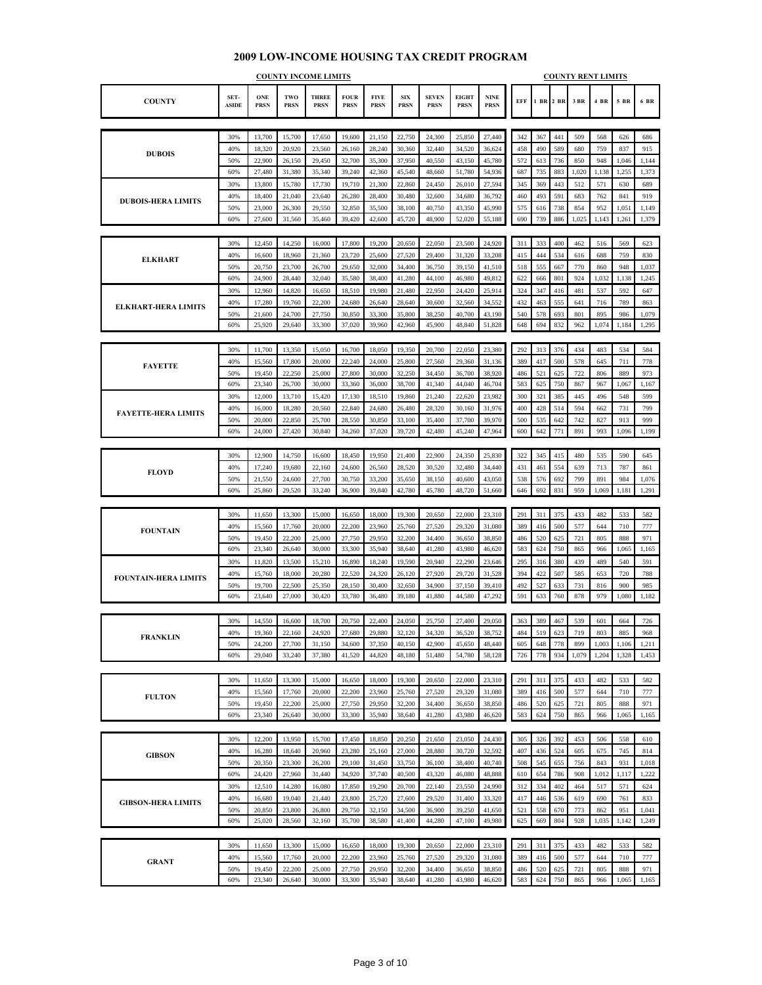#### **COUNTY SET-ASIDE ONE PRSN TWO PRSN THREE PRSN FOUR PRSN FIVE PRSN SIX PRSN SEVEN PRSN EIGHT PRSN NINE PRSN EFF 1 BR 2 BR 3 BR 4 BR 5 BR 6 BR COUNTY INCOME LIMITS COUNTY RENT LIMITS** 30% 13,700 15,700 17,650 19,600 21,150 22,750 24,300 25,850 27,440 342 367 441 509 568 626 686 40% 18,320 20,920 23,560 26,160 28,240 30,360 32,440 34,520 36,624 458 490 589 680 759 837 915 50% 22,900 26,150 29,450 32,700 35,300 37,950 40,550 43,150 45,780 572 613 736 850 948 1,046 1,144 60% 27,480 31,380 35,340 39,240 42,360 45,540 48,660 51,780 54,936 687 735 883 1,020 1,138 1,255 1,373 30% 13,800 15,780 17,730 19,710 21,300 22,860 24,450 26,010 27,594 345 369 443 512 571 630 689 40% | 18,400 | 21,040 | 23,640 | 26,280 | 28,400 | 30,480 | 32,600 | 34,680 | 36,792 | 460 | 493 | 591 | 683 | 762 | 841 | 919 50% 23,000 26,300 29,550 32,850 35,500 38,100 40,750 43,350 45,990 575 616 738 854 952 1,051 1,149 60% 27,600 31,560 35,460 39,420 42,600 45,720 48,900 52,020 55,188 690 739 886 1,025 1,143 1,261 1,379 30% | 12,450 | 14,250 | 16,000 | 17,800 | 19,200 | 20,650 | 22,050 | 23,500 | 24,920 | 311 | 333 | 400 | 462 | 516 | 569 | 623 40% | 16,600 | 18,960 | 21,360 | 23,720 | 25,600 | 27,520 | 29,400 | 31,320 | 33,208 | | 415 | 444 | 534 | 616 | 688 | 759 | 830 50% 20,750 23,700 26,700 29,650 32,000 34,400 36,750 39,150 41,510 518 555 667 770 860 948 1,037 60% 24,900 28,440 32,040 35,580 38,400 41,280 44,100 46,980 49,812 622 666 801 924 1,032 1,138 1,245 30% | 12,960 | 14,820 | 16,650 | 18,510 | 19,980 | 21,480 | 22,950 | 24,420 | 25,914 | | 324 | 347 | 416 | 481 | 537 | 592 | 647 40% 17,280 19,760 22,200 24,680 26,640 28,640 30,600 32,560 34,552 432 463 555 641 716 789 863 50% 21,600 24,700 27,750 30,850 33,300 35,800 38,250 40,700 38,190 540 578 693 801 895 986 1,079 60% 25,920 29,640 33,300 37,020 39,960 42,960 45,900 48,840 51,828 648 694 832 962 1,074 1,184 1,295 30% | 11,700 | 13,350 | 15,050 | 16,700 | 18,050 | 19,350 | 20,700 | 22,050 | 23,380 | 292 | 313 | 376 | 434 | 483 | 534 | 584 40% | 15,560 | 17,800 | 20,000 | 22,240 | 24,000 | 25,800 | 27,560 | 29,360 | 31,136 | | 389 | 417 | 500 | 578 | 645 | 711 | 778 50% | 19,450 | 22,250 | 25,000 | 27,800 | 30,000 | 32,250 | 34,450 | 36,700 | 38,920 | | 486 | 521 | 625 | 722 | 806 | 889 | 973 60% 23,340 26,700 30,000 33,360 36,000 38,700 41,340 44,040 46,704 583 625 750 867 967 1,067 1,167 30% | 12,000 | 13,710 | 15,420 | 17,130 | 18,510 | 19,860 | 21,240 | 22,620 | 23,982 | | 300 | 321 | 385 | 445 | 445 | 496 | 548 | 599 40% | 16,000 | 18,280 | 20,560 | 22,840 | 24,680 | 26,480 | 28,320 | 30,160 | 31,976 | | 400 | 428 | 514 | 594 | 662 | 731 | 799 50% 20,000 22,850 25,700 28,550 30,850 33,100 35,400 37,700 39,970 500 535 642 742 827 913 999 60% 24,000 27,420 30,840 34,260 37,020 39,720 42,480 45,240 47,964 600 642 771 891 993 1,096 1,199 30% | 12,900 | 14,750 | 16,600 | 18,450 | 19,950 | 21,400 | 22,900 | 24,350 | 25,830 | 322 | 345 | 415 | 480 | 535 | 590 | 645 40% | 17,240 | 19,680 | 22,160 | 24,600 | 26,560 | 28,520 | 30,520 | 32,480 | 34,440 | | 431 | 461 | 554 | 639 | 713 | 787 | 861 50% 21,550 24,600 27,700 30,750 33,200 35,650 38,150 40,600 43,050 538 576 692 799 891 984 1,076 60% 25,860 29,520 33,240 36,900 39,840 42,780 45,780 48,720 51,660 646 692 831 959 1,069 1,181 1,291 30% | 11,650 | 13,300 | 15,000 | 16,650 | 18,000 | 19,300 | 20,650 | 22,000 | 23,310 | | 291 | 311 | 375 | 433 | 482 | 533 | 582 40% | 15,560 | 17,760 | 20,000 | 22,200 | 23,960 | 25,760 | 27,520 | 29,320 | 31,080 | 389 | 416 | 500 | 577 | 644 | 710 | 777 50% 19,450 22,200 25,000 27,750 29,950 32,200 34,400 36,650 38,850 486 520 625 721 805 888 971 60% 23,340 26,640 30,000 33,300 35,940 38,640 41,280 43,980 46,620 583 624 750 865 966 1,065 1,165 30% | 11,820 | 13,500 | 15,210 | 16,890 | 18,240 | 19,590 | 20,940 | 22,290 | 23,646 | | 295 | 316 | 380 | 439 | 439 | 489 | 540 | 591 40% | 15,760 | 18,000 | 20,280 | 22,520 | 24,320 | 26,120 | 27,920 | 29,720 | 31,528 | 394 | 422 | 507 | 585 | 653 | 720 | 788 50% 19,700 22,500 25,350 28,150 30,400 32,650 34,900 37,150 39,410 492 527 633 731 816 900 985 60% | 23,640 | 27,000 | 30,420 | 33,780 | 36,480 | 39,180 | 41,880 | 44,580 | 47,292 | | 591 | 633 | 760 | 878 | 979 | 1,080 | 1,182 30% | 14,550 | 16,600 | 18,700 | 20,750 | 22,400 | 24,050 | 25,750 | 27,400 | 29,050 | 363 | 389 | 467 | 539 | 601 | 664 | 726 40% | 19,360 | 22,160 | 24,920 | 27,680 | 29,880 | 32,120 | 34,320 | 36,520 | 38,752 | | 484 | 519 | 623 | 719 | 803 | 885 | 968 50% 24,200 27,700 31,150 34,600 37,350 40,150 42,900 45,650 48,440 605 648 778 899 1,003 1,106 1,211 60% 29,040 33,240 37,380 41,520 44,820 48,180 51,480 54,780 58,128 726 778 934 1,079 1,204 1,328 1,453 30% 11,650 13,300 15,000 16,650 18,000 19,300 20,650 22,000 23,310 291 311 375 433 482 533 582 40% | 15,560 | 17,760 | 20,000 | 22,200 | 23,960 | 25,760 | 27,520 | 29,320 | 31,080 | 389 | 416 | 500 | 577 | 644 | 710 | 777 50% | 19,450 | 22,200 | 25,000 | 27,750 | 29,950 | 32,200 | 34,400 | 36,650 | 38,850 | 486 | 520 | 625 | 721 | 805 | 888 | 971 60% 23,340 26,640 30,000 33,300 35,940 38,640 41,280 43,980 46,620 583 624 750 865 966 1,065 1,165 30% | 12,200 | 13,950 | 15,700 | 17,450 | 18,850 | 20,250 | 21,650 | 23,050 | 24,430 | | 305 | 326 | 392 | 453 | 506 | 558 | 610 40% | 16,280 | 18,640 | 20,960 | 23,280 | 25,160 | 27,000 | 28,880 | 30,720 | 32,592 | 407 | 436 | 524 | 605 | 675 | 745 | 814 50% 20,350 23,300 26,200 29,100 31,450 33,750 36,100 38,400 40,740 508 545 655 756 843 931 1,018 60% 24,420 27,960 31,440 34,920 37,740 40,500 43,320 46,080 48,888 610 654 786 908 1,012 1,117 1,222 30% | 12,510 | 14,280 | 16,080 | 17,850 | 19,290 | 20,700 | 22,140 | 23,550 | 24,990 | 312 | 334 | 402 | 464 | 517 | 571 | 624 40% | 16,680 | 19,040 | 21,440 | 23,800 | 25,720 | 27,600 | 29,520 | 31,400 | 33,320 | | 417 | 446 | 536 | 619 | 690 | 761 | 833 50% 20,850 23,800 26,800 29,750 32,150 34,500 36,900 39,250 41,650 521 558 670 773 862 951 1,041 60% 25,020 28,560 32,160 35,700 38,580 41,400 44,280 47,100 49,980 625 669 804 928 1,035 1,142 1,249 **DUBOIS-HERA LIMITS ELKHART-HERA LIMITS FAYETTE-HERA LIMITS FOUNTAIN-HERA LIMITS GIBSON-HERA LIMITS GIBSON FAYETTE FLOYD FOUNTAIN FRANKLIN DUBOIS ELKHART FULTON**

| <b>GRANT</b> | 30% | 1.650  | 13.300 | 5.000  | 16.650 | 18,000        | 19.300 | 20,650 | 22,000 | 23.310 | 291 | 311 | 375 | 433 | 482 | 533   | 582   |
|--------------|-----|--------|--------|--------|--------|---------------|--------|--------|--------|--------|-----|-----|-----|-----|-----|-------|-------|
|              | 40% | 15.560 | 17.760 | 20,000 | 22,200 | 23,960        | 25,760 | 27,520 | 29,320 | 31,080 | 389 | 416 | 500 | 577 | 644 | 710   | 777   |
|              | 50% | 19,450 | 22,200 | 25,000 | 27,750 | 29,950 32,200 |        | 34,400 | 36,650 | 38,850 | 486 | 520 | 625 | 721 | 805 | 888   | 971   |
|              | 60% | 23,340 | 26,640 | 30,000 | 33,300 | 35,940        | 38,640 | 41,280 | 43,980 | 46,620 | 583 | 624 | 750 | 865 | 966 | 1,065 | 1,165 |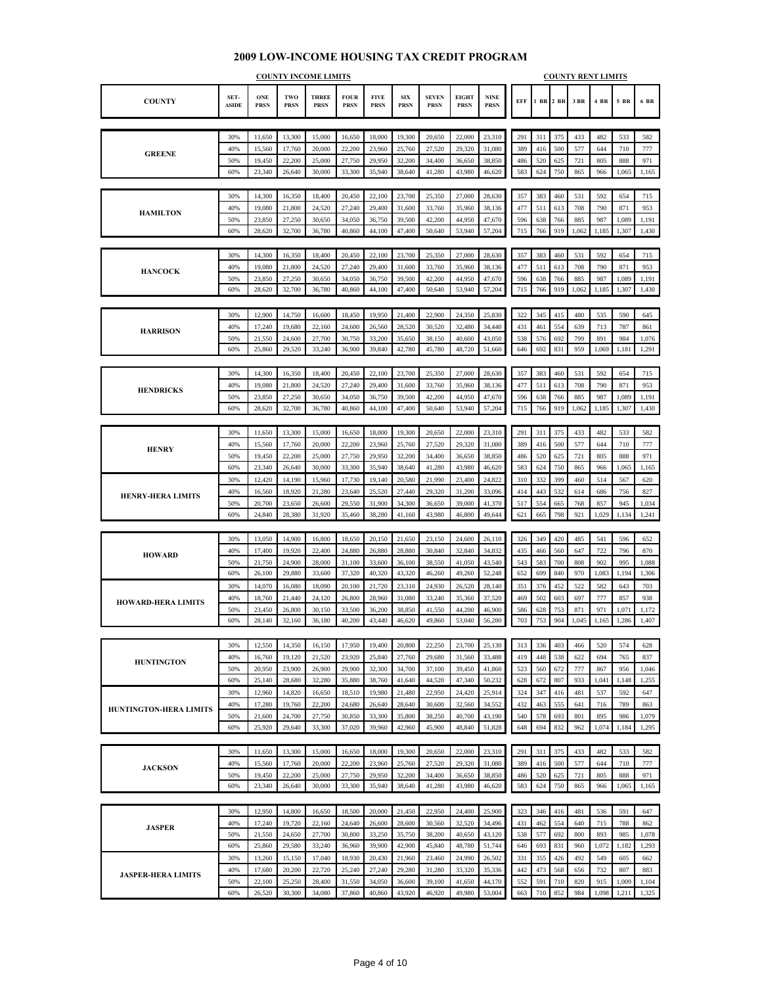|                               | <b>COUNTY INCOME LIMITS</b> |                           |                    |                             |                            |                            |                           |                             |                             |                            | <b>COUNTY RENT LIMITS</b> |            |            |       |       |       |       |  |  |  |
|-------------------------------|-----------------------------|---------------------------|--------------------|-----------------------------|----------------------------|----------------------------|---------------------------|-----------------------------|-----------------------------|----------------------------|---------------------------|------------|------------|-------|-------|-------|-------|--|--|--|
| <b>COUNTY</b>                 | SET-<br><b>ASIDE</b>        | <b>ONE</b><br><b>PRSN</b> | TWO<br><b>PRSN</b> | <b>THREE</b><br><b>PRSN</b> | <b>FOUR</b><br><b>PRSN</b> | <b>FIVE</b><br><b>PRSN</b> | <b>SIX</b><br><b>PRSN</b> | <b>SEVEN</b><br><b>PRSN</b> | <b>EIGHT</b><br><b>PRSN</b> | <b>NINE</b><br><b>PRSN</b> | EFF                       | 1 BR 2 BR  |            | 3 BR  | 4 BR  | 5 BR  | 6 BR  |  |  |  |
|                               |                             |                           |                    |                             |                            |                            |                           |                             |                             |                            |                           |            |            |       |       |       |       |  |  |  |
|                               | 30%                         | 11,650                    | 13,300             | 15,000                      | 16,650                     | 18,000                     | 19,300                    | 20,650                      | 22,000                      | 23,310                     | 291                       | 311        | 375        | 433   | 482   | 533   | 582   |  |  |  |
| <b>GREENE</b>                 | 40%                         | 15,560                    | 17,760             | 20,000                      | 22,200                     | 23,960                     | 25,760                    | 27,520                      | 29,320                      | 31,080                     | 389                       | 416        | 500        | 577   | 644   | 710   | 777   |  |  |  |
|                               | 50%                         | 19,450                    | 22,200             | 25,000                      | 27,750                     | 29,950                     | 32,200                    | 34,400                      | 36,650                      | 38,850                     | 486                       | 520        | 625        | 721   | 805   | 888   | 971   |  |  |  |
|                               | 60%                         | 23,340                    | 26,640             | 30,000                      | 33,300                     | 35,940                     | 38,640                    | 41,280                      | 43,980                      | 46,620                     | 583                       | 624        | 750        | 865   | 966   | 1,065 | 1,165 |  |  |  |
|                               |                             |                           |                    |                             |                            |                            |                           |                             |                             |                            |                           |            |            |       |       |       |       |  |  |  |
|                               | 30%                         | 14,300                    | 16,350             | 18,400                      | 20,450                     | 22,100                     | 23,700                    | 25,350                      | 27,000                      | 28,630                     | 357                       | 383        | 460        | 531   | 592   | 654   | 715   |  |  |  |
| <b>HAMILTON</b>               | 40%                         | 19,080                    | 21,800             | 24,520                      | 27,240                     | 29,400                     | 31,600                    | 33,760                      | 35,960                      | 38,136                     | 477                       | 511        | 613        | 708   | 790   | 871   | 953   |  |  |  |
|                               | 50%                         | 23,850                    | 27,250             | 30,650                      | 34,050                     | 36,750                     | 39,500                    | 42,200                      | 44,950                      | 47,670                     | 596                       | 638        | 766        | 885   | 987   | 1,089 | 1,191 |  |  |  |
|                               | 60%                         | 28,620                    | 32,700             | 36,780                      | 40,860                     | 44,100                     | 47,400                    | 50,640                      | 53,940                      | 57,204                     | 715                       | 766        | 919        | 1,062 | 1,185 | 1,307 | 1,430 |  |  |  |
|                               |                             |                           |                    |                             |                            |                            |                           |                             |                             |                            |                           |            |            |       |       |       |       |  |  |  |
|                               | 30%                         | 14,300                    | 16,350             | 18,400                      | 20,450                     | 22,100                     | 23,700                    | 25,350                      | 27,000                      | 28,630                     | 357                       | 383        | 460        | 531   | 592   | 654   | 715   |  |  |  |
| <b>HANCOCK</b>                | 40%                         | 19,080                    | 21,800             | 24,520                      | 27,240                     | 29,400                     | 31,600                    | 33,760                      | 35,960                      | 38,136                     | 477                       | 511        | 613        | 708   | 790   | 871   | 953   |  |  |  |
|                               | 50%                         | 23,850                    | 27,250             | 30,650                      | 34,050                     | 36,750                     | 39,500                    | 42,200                      | 44,950                      | 47,670                     | 596                       | 638        | 766        | 885   | 987   | 1,089 | 1,191 |  |  |  |
|                               | 60%                         | 28,620                    | 32,700             | 36,780                      | 40,860                     | 44,100                     | 47,400                    | 50,640                      | 53,940                      | 57,204                     | 715                       | 766        | 919        | 1,062 | 1,185 | 1,307 | 1,430 |  |  |  |
|                               |                             |                           |                    |                             |                            |                            |                           |                             |                             |                            |                           |            |            |       |       |       |       |  |  |  |
|                               | 30%                         | 12,900                    | 14,750             | 16,600                      | 18,450                     | 19,950                     | 21,400                    | 22,900                      | 24,350                      | 25,830                     | 322                       | 345        | 415        | 480   | 535   | 590   | 645   |  |  |  |
| <b>HARRISON</b>               | 40%                         | 17,240                    | 19,680             | 22,160                      | 24,600                     | 26,560                     | 28,520                    | 30,520                      | 32,480                      | 34,440                     | 431                       | 461        | 554        | 639   | 713   | 787   | 861   |  |  |  |
|                               | 50%                         | 21,550                    | 24,600             | 27,700                      | 30,750                     | 33,200                     | 35,650                    | 38,150                      | 40,600                      | 43,050                     | 538                       | 576        | 692        | 799   | 891   | 984   | 1,076 |  |  |  |
|                               | 60%                         | 25,860                    | 29,520             | 33,240                      | 36,900                     | 39,840                     | 42,780                    | 45,780                      | 48,720                      | 51,660                     | 646                       | 692        | 831        | 959   | 1,069 | 1,181 | 1,291 |  |  |  |
|                               |                             |                           |                    |                             |                            |                            |                           |                             |                             |                            |                           |            |            |       |       |       |       |  |  |  |
|                               | 30%                         | 14,300                    | 16,350             | 18,400                      | 20,450                     | 22,100                     | 23,700                    | 25,350                      | 27,000                      | 28,630                     | 357                       | 383        | 460        | 531   | 592   | 654   | 715   |  |  |  |
|                               | 40%                         | 19,080                    | 21,800             | 24,520                      | 27,240                     | 29,400                     | 31,600                    | 33,760                      | 35,960                      | 38,136                     | 477                       | 511        | 613        | 708   | 790   | 871   | 953   |  |  |  |
| <b>HENDRICKS</b>              | 50%                         | 23,850                    | 27,250             | 30,650                      | 34,050                     | 36,750                     | 39,500                    | 42,200                      | 44,950                      | 47,670                     | 596                       | 638        | 766        | 885   | 987   | 1,089 | 1,191 |  |  |  |
|                               | 60%                         | 28,620                    | 32,700             | 36,780                      | 40,860                     | 44,100                     | 47,400                    | 50,640                      | 53,940                      | 57,204                     | 715                       | 766        | 919        | 1,062 | 1,185 | 1,307 | 1,430 |  |  |  |
|                               |                             |                           |                    |                             |                            |                            |                           |                             |                             |                            |                           |            |            |       |       |       |       |  |  |  |
|                               | 30%                         | 11,650                    | 13,300             | 15,000                      | 16,650                     | 18,000                     | 19,300                    | 20,650                      | 22,000                      | 23,310                     | 291                       | 311        | 375        | 433   | 482   | 533   | 582   |  |  |  |
| <b>HENRY</b>                  | 40%                         | 15,560                    | 17,760             | 20,000                      | 22,200                     | 23,960                     | 25,760                    | 27,520                      | 29,320                      | 31,080                     | 389                       | 416        | 500        | 577   | 644   | 710   | 777   |  |  |  |
|                               | 50%                         | 19,450                    | 22,200             | 25,000                      | 27,750                     | 29,950                     | 32,200                    | 34,400                      | 36,650                      | 38,850                     | 486                       | 520        | 625        | 721   | 805   | 888   | 971   |  |  |  |
|                               | 60%                         | 23,340                    | 26,640             | 30,000                      | 33,300                     | 35,940                     | 38,640                    | 41,280                      | 43,980                      | 46,620                     | 583                       | 624        | 750        | 865   | 966   | 1,065 | 1,165 |  |  |  |
|                               | 30%                         | 12,420                    | 14,190             | 15,960                      | 17,730                     | 19,140                     | 20,580                    | 21,990                      | 23,400                      | 24,822                     | 310                       | 332        | 399        | 460   | 514   | 567   | 620   |  |  |  |
|                               | 40%                         | 16,560                    | 18,920             | 21,280                      | 23,640                     | 25,520                     | 27,440                    | 29,320                      | 31,200                      | 33,096                     | 414                       | 443        | 532        | 614   | 686   | 756   | 827   |  |  |  |
| <b>HENRY-HERA LIMITS</b>      | 50%                         | 20,700                    | 23,650             | 26,600                      | 29,550                     | 31,900                     | 34,300                    | 36,650                      | 39,000                      | 41,370                     | 517                       | 554        | 665        | 768   | 857   | 945   | 1,034 |  |  |  |
|                               | 60%                         | 24,840                    | 28,380             | 31,920                      | 35,460                     | 38,280                     | 41,160                    | 43,980                      | 46,800                      | 49,644                     | 621                       | 665        | 798        | 921   | 1,029 | 1,134 | 1,241 |  |  |  |
|                               |                             |                           |                    |                             |                            |                            |                           |                             |                             |                            |                           |            |            |       |       |       |       |  |  |  |
|                               | 30%                         | 13,050                    | 14,900             | 16,800                      | 18,650                     | 20,150                     | 21,650                    | 23,150                      | 24,600                      | 26,110                     | 326                       | 349        | 420        | 485   | 541   | 596   | 652   |  |  |  |
|                               | 40%                         | 17,400                    | 19,920             | 22,400                      | 24,880                     | 26,880                     | 28,880                    | 30,840                      | 32,840                      | 34,832                     | 435                       | 466        | 560        | 647   | 722   | 796   | 870   |  |  |  |
| <b>HOWARD</b>                 | 50%                         | 21,750                    | 24,900             | 28,000                      | 31,100                     | 33,600                     | 36,100                    | 38,550                      | 41,050                      | 43,540                     | 543                       | 583        | 700        | 808   | 902   | 995   | 1,088 |  |  |  |
|                               | 60%                         | 26,100                    | 29,880             | 33,600                      | 37,320                     | 40,320                     | 43,320                    | 46,260                      | 49,260                      | 52,248                     | 652                       | 699        | 840        | 970   | 1,083 | 1,194 | 1,306 |  |  |  |
|                               |                             |                           |                    |                             |                            |                            |                           |                             |                             |                            |                           |            |            |       |       |       |       |  |  |  |
|                               | 30%                         | 14,070                    | 16,080             | 18,090                      | 20,100                     | 21,720                     | 23,310                    | 24,930                      | 26,520                      | 28,140                     | 351                       | 376        | 452        | 522   | 582   | 643   | 703   |  |  |  |
| <b>HOWARD-HERA LIMITS</b>     | 40%                         | 18,760                    | 21,440             | 24,120                      | 26,800                     | 28,960                     | 31,080                    | 33,240                      | 35,360                      | 37,520                     | 469                       | 502        | 603        | 697   | 777   | 857   | 938   |  |  |  |
|                               | 50%<br>60%                  | 23,450                    | 26,800<br>32,160   | 30,150                      | 33,500<br>40,200           | 36,200                     | 38,850                    | 41,550                      | 44,200                      | 46,900                     | 586<br>703                | 628<br>753 | 753<br>904 | 871   | 971   | 1,071 | 1,172 |  |  |  |
|                               |                             | 28,140                    |                    | 36,180                      |                            | 43,440                     | 46,620                    | 49,860                      | 53,040                      | 56,280                     |                           |            |            | 1,045 | 1,165 | 1,286 | 1,407 |  |  |  |
|                               |                             |                           |                    |                             |                            |                            |                           |                             |                             |                            |                           |            |            |       |       |       |       |  |  |  |
|                               | 30%                         | 12,550                    | 14,350             | 16,150                      | 17,950                     | 19,400                     | 20,800                    | 22,250                      | 23,700                      | 25,130                     | 313                       | 336        | 403        | 466   | 520   | 574   | 628   |  |  |  |
| <b>HUNTINGTON</b>             | 40%                         | 16,760                    | 19,120             | 21,520                      | 23,920                     | 25,840                     | 27,760                    | 29,680                      | 31,560                      | 33,488                     | 419                       | 448        | 538        | 622   | 694   | 765   | 837   |  |  |  |
|                               | 50%                         | 20,950                    | 23,900             | 26,900                      | 29,900                     | 32,300                     | 34,700                    | 37,100                      | 39,450                      | 41,860                     | 523                       | 560        | 672        | 777   | 867   | 956   | 1,046 |  |  |  |
|                               | 60%                         | 25,140                    | 28,680             | 32,280                      | 35,880                     | 38,760                     | 41,640                    | 44,520                      | 47,340                      | 50,232                     | 628                       | 672        | 807        | 933   | 1,041 | 1,148 | 1,255 |  |  |  |
|                               | 30%                         | 12,960                    | 14,820             | 16,650                      | 18,510                     | 19,980                     | 21,480                    | 22,950                      | 24,420                      | 25,914                     | 324                       | 347        | 416        | 481   | 537   | 592   | 647   |  |  |  |
| <b>HUNTINGTON-HERA LIMITS</b> | 40%                         | 17,280                    | 19,760             | 22,200                      | 24,680                     | 26,640                     | 28,640                    | 30,600                      | 32,560                      | 34,552                     | 432                       | 463        | 555        | 641   | 716   | 789   | 863   |  |  |  |
|                               | 50%                         | 21,600                    | 24,700             | 27,750                      | 30,850                     | 33,300                     | 35,800                    | 38,250                      | 40,700                      | 43,190                     | 540                       | 578        | 693        | 801   | 895   | 986   | 1,079 |  |  |  |
|                               | 60%                         | 25,920                    | 29,640             | 33,300                      | 37,020                     | 39,960                     | 42,960                    | 45,900                      | 48,840                      | 51,828                     | 648                       | 694        | 832        | 962   | 1,074 | 1,184 | 1,295 |  |  |  |
|                               |                             |                           |                    |                             |                            |                            |                           |                             |                             |                            |                           |            |            |       |       |       |       |  |  |  |
|                               | 30%                         | 11,650                    | 13,300             | 15,000                      | 16,650                     | 18,000                     | 19,300                    | 20,650                      | 22,000                      | 23,310                     | 291                       | 311        | 375        | 433   | 482   | 533   | 582   |  |  |  |
| <b>JACKSON</b>                | 40%                         | 15,560                    | 17,760             | 20,000                      | 22,200                     | 23,960                     | 25,760                    | 27,520                      | 29,320                      | 31,080                     | 389                       | 416        | 500        | 577   | 644   | 710   | 777   |  |  |  |
|                               | 50%                         | 19,450                    | 22,200             | 25,000                      | 27,750                     | 29,950                     | 32,200                    | 34,400                      | 36,650                      | 38,850                     | 486                       | 520        | 625        | 721   | 805   | 888   | 971   |  |  |  |
|                               | 60%                         | 23,340                    | 26,640             | 30,000                      | 33,300                     | 35,940                     | 38,640                    | 41,280                      | 43,980                      | 46,620                     | 583                       | 624        | 750        | 865   | 966   | 1,065 | 1,165 |  |  |  |
|                               |                             |                           |                    |                             |                            |                            |                           |                             |                             |                            |                           |            |            |       |       |       |       |  |  |  |
|                               | 30%                         | 12,950                    | 14,800             | 16,650                      | 18,500                     | 20,000                     | 21,450                    | 22,950                      | 24,400                      | 25,900                     | 323                       | 346        | 416        | 481   | 536   | 591   | 647   |  |  |  |
| <b>JASPER</b>                 | 40%                         | 17,240                    | 19,720             | 22,160                      | 24,640                     | 26,600                     | 28,600                    | 30,560                      | 32,520                      | 34,496                     | 431                       | 462        | 554        | 640   | 715   | 788   | 862   |  |  |  |
|                               | 50%                         | 21,550                    | 24,650             | 27,700                      | 30,800                     | 33,250                     | 35,750                    | 38,200                      | 40,650                      | 43,120                     | 538                       | 577        | 692        | 800   | 893   | 985   | 1,078 |  |  |  |
|                               | 60%                         | 25,860                    | 29,580             | 33,240                      | 36,960                     | 39,900                     | 42,900                    | 45,840                      | 48,780                      | 51,744                     | 646                       | 693        | 831        | 960   | 1,072 | 1,182 | 1,293 |  |  |  |
|                               | 30%                         | 13,260                    | 15,150             | 17,040                      | 18,930                     | 20,430                     | 21,960                    | 23,460                      | 24,990                      | 26,502                     | 331                       | 355        | 426        | 492   | 549   | 605   | 662   |  |  |  |
| <b>JASPER-HERA LIMITS</b>     | 40%                         | 17,680                    | 20,200             | 22,720                      | 25,240                     | 27,240                     | 29,280                    | 31,280                      | 33,320                      | 35,336                     | 442                       | 473        | 568        | 656   | 732   | 807   | 883   |  |  |  |
|                               | 50%                         | 22,100                    | 25,250             | 28,400                      | 31,550                     | 34,050                     | 36,600                    | 39,100                      | 41,650                      | 44,170                     | 552                       | 591        | 710        | 820   | 915   | 1,009 | 1,104 |  |  |  |
|                               | 60%                         | 26,520                    | 30,300             | 34,080                      | 37,860                     | 40,860                     | 43,920                    | 46,920                      | 49,980                      | 53,004                     | 663                       | 710        | 852        | 984   | 1,098 | 1,211 | 1,325 |  |  |  |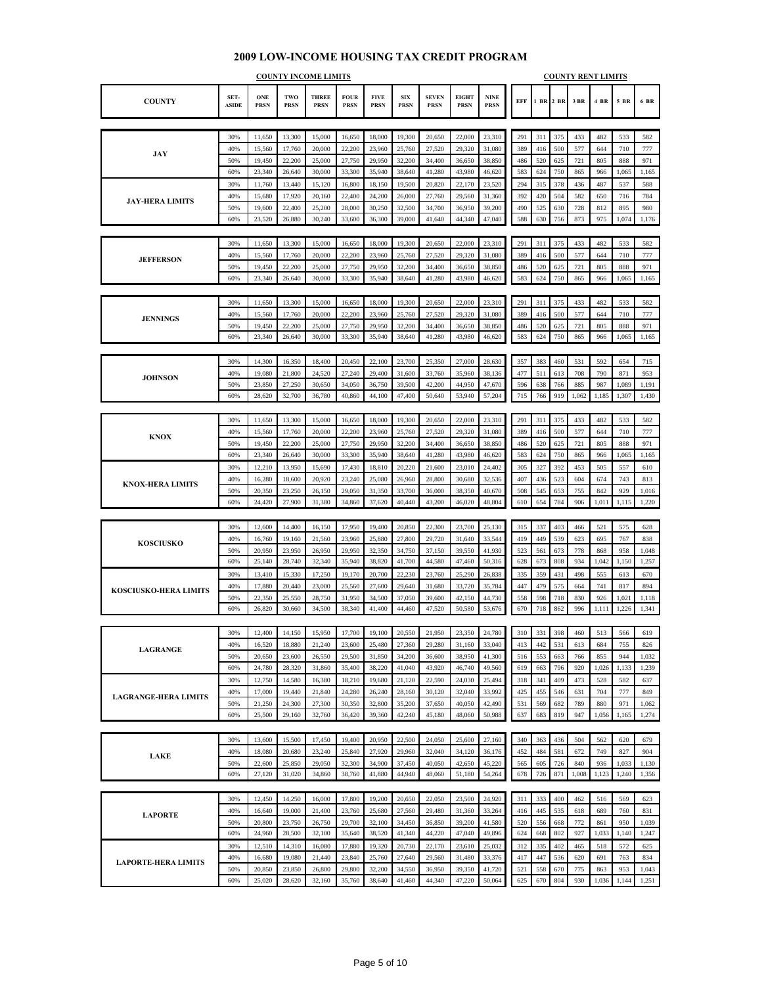#### **COUNTY SET-ASIDE ONE PRSN TWO PRSN THREE PRSN FOUR PRSN FIVE PRSN SIX PRSN SEVEN PRSN EIGHT PRSN NINE PRSN EFF 1 BR 2 BR 3 BR 4 BR 5 BR 6 BR COUNTY INCOME LIMITS COUNTY RENT LIMITS** 30% 11,650 13,300 15,000 16,650 18,000 19,300 20,650 22,000 23,310 291 311 375 433 482 533 582 40% 15,560 17,760 20,000 22,200 23,960 25,760 27,520 29,320 31,080 389 416 500 577 644 710 777 50% 19,450 22,200 25,000 27,750 29,950 32,200 34,400 36,650 38,850 486 520 625 721 805 888 971 60% 23,340 26,640 30,000 33,300 35,940 38,640 41,280 43,980 46,620 583 624 750 865 966 1,065 1,165 30% 11,760 13,440 15,120 16,800 18,150 19,500 20,820 22,170 23,520 294 315 378 436 487 537 588 40% 15,680 17,920 20,160 22,400 24,200 26,000 27,760 29,560 31,360 392 420 504 582 650 716 784 50% | 19,600 | 22,400 | 25,200 | 28,000 | 30,250 | 32,500 | 34,700 | 36,950 | 39,200 | | 490 | 525 | 630 | 728 | 812 | 895 | 980 60% 23,520 26,880 30,240 33,600 36,300 39,000 41,640 44,340 47,040 588 630 756 873 975 1,074 1,176 30% | 11,650 | 13,300 | 15,000 | 16,650 | 18,000 | 19,300 | 20,650 | 22,000 | 23,310 | | 291 | 311 | 375 | 433 | 482 | 533 | 582 40% | 15,560 | 17,760 | 20,000 | 22,200 | 23,960 | 25,760 | 27,520 | 29,320 | 31,080 | 389 | 416 | 500 | 577 | 644 | 710 | 777 50% 19,450 22,200 25,000 27,750 29,950 32,200 34,400 36,650 38,850 486 520 625 721 805 888 971 60% 23,340 26,640 30,000 33,300 35,940 38,640 41,280 43,980 46,620 583 624 750 865 966 1,065 1,165 30% 11,650 13,300 15,000 16,650 18,000 19,300 20,650 22,000 23,310 291 311 375 433 482 533 582 40% | 15,560 | 17,760 | 20,000 | 22,200 | 23,960 | 25,760 | 27,520 | 29,320 | 31,080 | 389 | 416 | 500 | 577 | 644 | 710 | 777 50% | 19,450 | 22,200 | 25,000 | 27,750 | 29,950 | 32,200 | 34,400 | 36,650 | 38,850 | 486 | 520 | 625 | 721 | 805 | 888 | 971 60% 23,340 26,640 30,000 33,300 35,940 38,640 41,280 43,980 46,620 583 624 750 865 966 1,065 1,165 30% | 14,300 | 16,350 | 18,400 | 20,450 | 22,100 | 23,700 | 25,350 | 27,000 | 28,630 | | 357 | 383 | 460 | 531 | 592 | 654 | 715 40% | 19,080 | 21,800 | 24,520 | 27,240 | 29,400 | 31,600 | 33,760 | 35,960 | 38,136 | | 477 | 511 | 613 | 708 | 709 | 871 | 953 50% 23,850 27,250 30,650 34,050 36,750 39,500 42,200 44,950 47,670 596 638 766 885 987 1,089 1,191 60% 28,620 32,700 36,780 40,860 44,100 47,400 50,640 53,940 57,204 715 766 919 1,062 1,185 1,307 1,430 30% | 11,650 | 13,300 | 15,000 | 16,650 | 18,000 | 19,300 | 20,650 | 22,000 | 23,310 | | 291 | 311 | 375 | 433 | 482 | 533 | 582 40% | 15,560 | 17,760 | 20,000 | 22,200 | 23,960 | 25,760 | 27,520 | 29,320 | 31,080 | 389 | 416 | 500 | 577 | 644 | 710 | 777 50% | 19,450 | 22,200 | 25,000 | 27,750 | 29,950 | 32,200 | 34,400 | 36,650 | 38,850 | 486 | 520 | 625 | 721 | 805 | 888 | 971 60% 23,340 26,640 30,000 33,300 35,940 38,640 41,280 43,980 46,620 583 624 750 865 966 1,065 1,165 30% | 12,210 | 13,950 | 15,690 | 17,430 | 18,810 | 20,220 | 21,600 | 23,010 | 24,402 | 305 | 327 | 392 | 453 | 505 | 557 | 610 40% | 16,280 | 18,600 | 20,920 | 23,240 | 25,080 | 26,960 | 28,800 | 30,680 | 32,536 | | 407 | 436 | 523 | 604 | 674 | 743 | 813 50% 20,350 23,250 26,150 29,050 31,350 33,700 36,000 38,350 40,670 508 545 653 755 842 929 1,016 60% 24,420 27,900 31,380 34,860 37,620 40,440 43,200 46,020 48,804 610 654 784 906 1,011 1,115 1,220 30% | 12,600 | 14,400 | 16,150 | 17,950 | 19,400 | 20,850 | 22,300 | 23,700 | 25,130 | 315 | 337 | 403 | 406 | 521 | 575 | 628 40% | 16,760 | 19,160 | 21,560 | 23,960 | 25,880 | 27,800 | 29,720 | 31,640 | 33,544 | | 419 | 449 | 539 | 623 | 695 | 767 | 838 50% 20,950 23,950 26,950 29,950 32,350 34,750 37,150 39,550 41,930 523 561 673 778 868 958 1,048 60% 25,140 28,740 32,340 35,940 38,820 41,700 44,580 47,460 50,316 628 673 808 934 1,042 1,150 1,257 30% | 13,410 | 15,330 | 17,250 | 19,170 | 20,700 | 22,230 | 23,760 | 25,290 | 26,838 | 335 | 359 | 431 | 498 | 555 | 613 | 670 40% | 17,880 | 20,440 | 23,000 | 25,560 | 27,600 | 29,640 | 31,680 | 33,720 | 35,784 | | 447 | 479 | 575 | 664 | 741 | 817 | 894 50% 22,350 25,550 28,750 31,950 34,500 37,050 39,600 42,150 44,730 558 598 718 830 926 1,021 1,118 60% 26,820 30,660 34,500 38,340 41,400 44,460 47,520 50,580 53,676 670 718 862 996 1,111 1,226 1,341 30% | 12,400 | 14,150 | 15,950 | 17,700 | 19,100 | 20,550 | 21,950 | 23,350 | 24,780 | 310 | 331 | 398 | 460 | 513 | 566 | 619 40% | 16,520 | 18,880 | 21,240 | 23,600 | 25,480 | 27,360 | 29,280 | 31,160 | 33,040 | 413 | 442 | 531 | 613 | 684 | 755 | 826 50% 20,650 23,600 26,550 29,500 31,850 34,200 36,600 38,950 41,300 516 553 663 766 855 944 1,032 60% 24,780 28,320 31,860 35,400 38,220 41,040 43,920 46,740 49,560 619 663 796 920 1,026 1,133 1,239 30% | 12,750 | 14,580 | 16,380 | 18,210 | 19,680 | 21,120 | 22,590 | 24,030 | 25,494 | 318 | 341 | 409 | 473 | 528 | 582 | 637 40% | 17,000 | 19,440 | 21,840 | 24,280 | 26,240 | 28,160 | 30,120 | 32,040 | 33,992 | | 425 | 455 | 546 | 631 | 704 | 777 | 849 50% 21,250 24,300 27,300 30,350 32,800 35,200 37,650 40,050 42,490 531 569 682 789 880 971 1,062 60% 25,500 29,160 32,760 36,420 39,360 42,240 45,180 48,060 50,988 637 683 819 947 1,056 1,165 1,274 30% | 13,600 | 15,500 | 17,450 | 19,400 | 20,950 | 22,500 | 24,050 | 25,600 | 27,160 | 340 | 363 | 436 | 504 | 562 | 620 | 679 40% | 18,080 | 20,680 | 23,240 | 25,840 | 27,920 | 29,960 | 32,040 | 34,120 | 36,176 | | 452 | 484 | 581 | 672 | 749 | 827 | 904 50% 22,600 25,850 29,050 32,300 34,900 37,450 40,050 42,650 45,220 565 605 726 840 936 1,033 1,130 60% 27,120 31,020 34,860 38,760 41,880 44,940 48,060 51,180 54,264 678 726 871 1,008 1,123 1,240 1,356 30% | 12,450 | 14,250 | 16,000 | 17,800 | 19,200 | 20,650 | 22,050 | 23,500 | 24,920 | 311 | 333 | 400 | 462 | 516 | 569 | 623 40% | 16,640 | 19,000 | 21,400 | 23,760 | 25,680 | 27,560 | 29,480 | 31,360 | 33,264 | | 416 | 445 | 535 | 618 | 689 | 760 | 831 50% 20,800 23,750 26,750 29,700 32,100 34,450 36,850 39,200 41,580 520 556 668 772 861 950 1,039 60% 24,960 28,500 32,100 35,640 38,520 41,340 44,220 47,040 49,896 624 668 802 927 1,033 1,140 1,247 30% 12,510 14,310 16,080 17,880 19,320 20,730 22,170 23,610 25,032 312 335 402 465 518 572 625 40% | 16,680 | 19,080 | 21,440 | 23,840 | 25,760 | 27,640 | 29,560 | 31,480 | 33,376 | 417 | 447 | 536 | 620 | 691 | 763 | 834 50% 20,850 23,850 26,800 29,800 32,200 34,550 36,950 39,350 41,720 521 558 670 775 863 953 1,043 **LAGRANGE JAY JEFFERSON JENNINGS LAKE LAPORTE JAY-HERA LIMITS KNOX-HERA LIMITS KOSCIUSKO-HERA LIMITS LAGRANGE-HERA LIMITS LAPORTE-HERA LIMITS JOHNSON KNOX KOSCIUSKO**

60% 25,020 28,620 32,160 35,760 38,640 41,460 44,340 47,220 50,064 625 670 804 930 1,036 1,144 1,251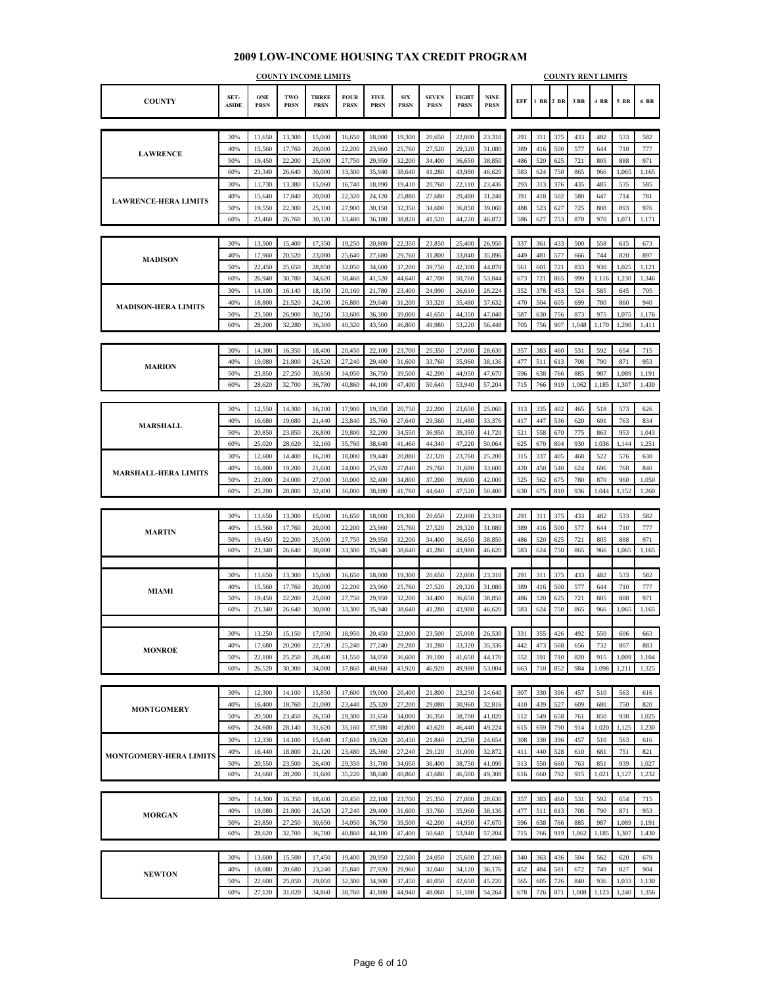#### **COUNTY SET-ASIDE ONE PRSN TWO PRSN THREE PRSN FOUR PRSN FIVE PRSN SIX PRSN SEVEN PRSN EIGHT PRSN NINE PRSN EFF 1 BR 2 BR 3 BR 4 BR 5 BR 6 BR COUNTY INCOME LIMITS COUNTY RENT LIMITS** 30% 11,650 13,300 15,000 16,650 18,000 19,300 20,650 22,000 23,310 291 311 375 433 482 533 582 40% 15,560 17,760 20,000 22,200 23,960 25,760 27,520 29,320 31,080 389 416 500 577 644 710 777 50% 19,450 22,200 25,000 27,750 29,950 32,200 34,400 36,650 38,850 486 520 625 721 805 888 971 60% 23,340 26,640 30,000 33,300 35,940 38,640 41,280 43,980 46,620 583 624 750 865 966 1,065 1,165 30% 11,730 13,380 15,060 16,740 18,090 19,410 20,760 22,110 23,436 293 313 376 435 485 535 585 40% | 15,640 | 17,840 | 20,080 | 22,320 | 24,120 | 25,880 | 27,680 | 29,480 | 31,248 | 391 | 418 | 502 | 580 | 647 | 714 | 781 50% | 19,550 | 22,300 | 25,100 | 27,900 | 30,150 | 32,350 | 34,600 | 36,850 | 39,060 | | 488 | 523 | 627 | 725 | 808 | 893 | 976 60% 23,460 26,760 30,120 33,480 36,180 38,820 41,520 44,220 46,872 386 627 753 870 970 1,071 1,171 30% | 13,500 | 15,400 | 17,350 | 19,250 | 20,800 | 22,350 | 23,850 | 25,400 | 26,950 | 337 | 361 | 433 | 500 | 558 | 615 | 673 40% | 17,960 | 20,520 | 23,080 | 25,640 | 27,680 | 29,760 | 31,800 | 33,840 | 35,896 | | 449 | 481 | 577 | 666 | 744 | 820 | 897 50% 22,450 25,650 28,850 32,050 34,600 37,200 39,750 42,300 44,870 561 601 721 833 930 1,025 1,121 60% 26,940 30,780 34,620 38,460 41,520 44,640 47,700 50,760 53,844 673 721 865 999 1,116 1,230 1,346 30% | 14,100 | 16,140 | 18,150 | 20,160 | 21,780 | 23,400 | 24,990 | 26,610 | 28,224 | | 352 | 378 | 453 | 524 | 585 | 645 | 705 40% 18,800 21,520 24,200 26,880 29,040 31,200 33,320 35,480 37,632 470 504 605 699 780 860 940 50% 23,500 26,900 30,250 33,600 36,300 39,000 41,650 44,350 47,040 587 630 756 873 975 1,075 1,176 60% 28,200 32,280 36,300 40,320 43,560 46,800 49,980 53,220 56,448 705 756 907 1,048 1,170 1,290 1,411 30% | 14,300 | 16,350 | 18,400 | 20,450 | 22,100 | 23,700 | 25,350 | 27,000 | 28,630 | 357 | 383 | 460 | 531 | 592 | 654 | 715 40% | 19,080 | 21,800 | 24,520 | 27,240 | 29,400 | 31,600 | 33,760 | 35,960 | 38,136 | | 477 | 511 | 613 | 708 | 709 | 871 | 953 50% 23,850 27,250 30,650 34,050 36,750 39,500 42,200 44,950 47,670 596 638 766 885 987 1,089 1,191 60% 28,620 32,700 36,780 40,860 44,100 47,400 50,640 53,940 57,204 715 766 919 1,062 1,185 1,307 1,430 30% | 12,550 | 14,300 | 16,100 | 17,900 | 19,350 | 20,750 | 22,200 | 23,650 | 25,060 | 313 | 335 | 402 | 465 | 518 | 573 | 626 40% | 16,680 | 19,080 | 21,440 | 23,840 | 25,760 | 27,640 | 29,560 | 31,480 | 33,376 | | 417 | 447 | 536 | 620 | 691 | 763 | 834 50% 20,850 23,850 26,800 29,800 32,200 34,550 36,950 39,350 41,720 521 558 670 775 863 953 1,043 60% 25,020 28,620 32,160 35,760 38,640 41,460 44,340 47,220 50,064 625 670 804 930 1,036 1,144 1,251 30% | 12,600 | 14,400 | 16,200 | 18,000 | 19,440 | 20,880 | 22,320 | 23,760 | 25,200 | 315 | 337 | 405 | 468 | 522 | 576 | 630 40% | 16,800 | 19,200 | 21,600 | 24,000 | 25,920 | 27,840 | 29,760 | 31,680 | 33,600 | | 420 | 450 | 540 | 624 | 696 | 768 | 840 50% 21,000 24,000 27,000 30,000 32,400 34,800 37,200 39,600 42,000 525 562 675 780 870 960 1,050 60% 25,200 28,800 32,400 36,000 38,880 41,760 44,640 47,520 50,400 630 675 810 936 1,044 1,152 1,260 30% 11,650 13,300 15,000 16,650 18,000 19,300 20,650 22,000 23,310 291 311 375 433 482 533 582 40% | 15,560 | 17,760 | 20,000 | 22,200 | 23,960 | 25,760 | 27,520 | 29,320 | 31,080 | 389 | 416 | 500 | 577 | 644 | 710 | 777 50% | 19,450 | 22,200 | 25,000 | 27,750 | 29,950 | 32,200 | 34,400 | 36,650 | 38,850 | 486 | 520 | 625 | 721 | 805 | 888 | 971 60% 23,340 26,640 30,000 33,300 35,940 38,640 41,280 43,980 46,620 583 624 750 865 966 1,065 1,165 30% | 11,650 | 13,300 | 15,000 | 16,650 | 18,000 | 19,300 | 20,650 | 22,000 | 23,310 | | 291 | 311 | 375 | 433 | 482 | 533 | 582 40% | 15,560 | 17,760 | 20,000 | 22,200 | 23,960 | 25,760 | 27,520 | 29,320 | 31,080 | 389 | 416 | 500 | 577 | 644 | 710 | 777 50% | 19,450 | 22,200 | 25,000 | 27,750 | 29,950 | 32,200 | 34,400 | 36,650 | 38,850 | 486 | 520 | 625 | 721 | 805 | 888 | 971 60% 23,340 26,640 30,000 33,300 35,940 38,640 41,280 43,980 46,620 583 624 750 865 966 1,065 1,165 30% | 13,250 | 15,150 | 17,050 | 18,950 | 20,450 | 22,000 | 23,500 | 25,000 | 26,530 | 331 | 355 | 426 | 492 | 550 | 606 | 663 40% | 17,680 | 20,200 | 22,720 | 25,240 | 27,240 | 29,280 | 31,280 | 33,320 | 35,336 | | 442 | 473 | 568 | 656 | 732 | 807 | 883 50% 22,100 25,250 28,400 31,550 34,050 36,600 39,100 41,650 44,170 552 591 710 820 915 1,009 1,104 60% 26,520 30,300 34,080 37,860 40,860 43,920 46,920 49,980 53,004 663 710 852 984 1,098 1,211 1,325 30% | 12,300 | 14,100 | 15,850 | 17,600 | 19,000 | 20,400 | 21,800 | 23,250 | 24,640 | | 307 | 330 | 396 | 457 | 510 | 563 | 616 40% | 16,400 | 18,760 | 21,080 | 23,440 | 25,320 | 27,200 | 29,080 | 30,960 | 32,816 | | 410 | 439 | 527 | 609 | 680 | 750 | 820 50% 20,500 23,450 26,350 29,300 31,650 34,000 36,350 38,700 41,020 512 549 658 761 850 938 1,025 60% 24,600 28,140 31,620 35,160 37,980 40,800 43,620 46,440 49,224 615 659 790 914 1,020 1,125 1,230 30% | 12,330 | 14,100 | 15,840 | 17,610 | 19,020 | 20,430 | 21,840 | 23,250 | 24,654 | 308 | 330 | 396 | 457 | 510 | 563 | 616 40% | 16,440 | 18,800 | 21,120 | 23,480 | 25,360 | 27,240 | 29,120 | 31,000 | 32,872 | | 411 | 440 | 528 | 610 | 681 | 751 | 821 50% 20,550 23,500 26,400 29,350 31,700 34,050 36,400 38,750 41,090 513 550 660 763 851 939 1,027 60% 24,660 28,200 31,680 35,220 38,040 40,860 43,680 46,500 49,308 616 660 792 915 1,021 1,127 1,232 30% | 14,300 | 16,350 | 18,400 | 20,450 | 22,100 | 23,700 | 25,350 | 27,000 | 28,630 | 357 | 383 | 460 | 531 | 592 | 654 | 715 40% | 19,080 | 21,800 | 24,520 | 27,240 | 29,400 | 31,600 | 33,760 | 35,960 | 38,136 | | 477 | 511 | 613 | 708 | 709 | 871 | 953 50% 23,850 27,250 30,650 34,050 36,750 39,500 42,200 44,950 47,670 596 638 766 885 987 1,089 1,191 60% 28,620 32,700 36,780 40,860 44,100 47,400 50,640 53,940 57,204 715 766 919 1,062 1,185 1,307 1,430 30% | 13,600 | 15,500 | 17,450 | 19,400 | 20,950 | 22,500 | 24,050 | 25,600 | 27,160 | 340 | 363 | 436 | 504 | 562 | 620 | 679 40% | 18,080 | 20,680 | 23,240 | 25,840 | 27,920 | 29,960 | 32,040 | 34,120 | 36,176 | | 452 | 484 | 581 | 672 | 749 | 827 | 904 **MONROE MONTGOMERY MORGAN NEWTON MONTGOMERY-HERA LIMITS MARION MARSHALL MARTIN MIAMI LAWRENCE MADISON LAWRENCE-HERA LIMITS MADISON-HERA LIMITS MARSHALL-HERA LIMITS**

50% 22,600 25,850 29,050 32,300 34,900 37,450 40,050 42,650 45,220 565 605 726 840 936 1,033 1,130 60% 27,120 31,020 34,860 38,760 41,880 44,940 48,060 51,180 54,264 678 726 871 1,008 1,123 1,240 1,356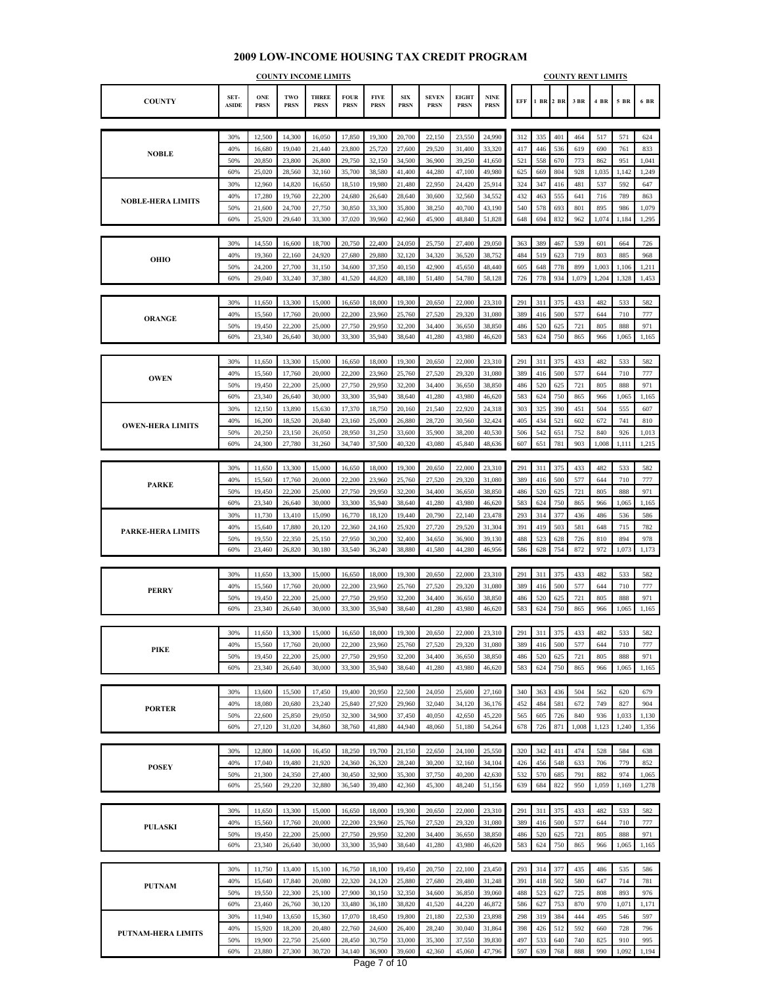#### **COUNTY SET-ASIDE ONE PRSN TWO PRSN THREE PRSN FOUR PRSN FIVE PRSN SIX PRSN SEVEN PRSN EIGHT PRSN NINE PRSN EFF 1 BR 2 BR 3 BR 4 BR 5 BR 6 BR COUNTY INCOME LIMITS COUNTY RENT LIMITS** 30% 12,500 14,300 16,050 17,850 19,300 20,700 22,150 23,550 24,990 312 335 401 464 517 571 624 40% 16,680 19,040 21,440 23,800 25,720 27,600 29,520 31,400 33,320 417 446 536 619 690 761 833 50% 20,850 23,800 26,800 29,750 32,150 34,500 36,900 39,250 41,650 521 558 670 773 862 951 1,041 60% 25,020 28,560 32,160 35,700 38,580 41,400 44,280 47,100 49,980 625 669 804 928 1,035 1,142 1,249 30% 12,960 14,820 16,650 18,510 19,980 21,480 22,950 24,420 25,914 324 347 416 481 537 592 647 40% | 17,280 | 19,760 | 22,200 | 24,680 | 26,640 | 28,640 | 30,600 | 32,560 | 34,552 | 432 | 463 | 555 | 641 | 716 | 789 | 863 50% 21,600 24,700 27,750 30,850 33,300 35,800 38,250 40,700 43,190 540 578 693 801 895 986 1,079 60% 25,920 29,640 33,300 37,020 39,960 42,960 45,900 48,840 51,828 648 694 832 962 1,074 1,184 1,295 30% | 14,550 | 16,600 | 18,700 | 20,750 | 22,400 | 24,050 | 25,750 | 27,400 | 29,050 | | 363 | 389 | 467 | 539 | 601 | 664 | 726 40% | 19,360 | 22,160 | 24,920 | 27,680 | 29,880 | 32,120 | 34,320 | 36,520 | 38,752 | | 484 | 519 | 623 | 719 | 803 | 885 | 968 50% 24,200 27,700 31,150 34,600 37,350 40,150 42,900 45,650 48,440 605 648 778 899 1,003 1,106 1,211 60% 29,040 33,240 37,380 41,520 44,820 48,180 51,480 54,780 58,128 726 778 934 1,079 1,204 1,328 1,453 30% 11,650 13,300 15,000 16,650 18,000 19,300 20,650 22,000 23,310 291 311 375 433 482 533 582 40% | 15,560 | 17,760 | 20,000 | 22,200 | 23,960 | 25,760 | 27,520 | 29,320 | 31,080 | 389 | 416 | 500 | 577 | 644 | 710 | 777 50% | 19,450 | 22,200 | 25,000 | 27,750 | 29,950 | 32,200 | 34,400 | 36,650 | 38,850 | 486 | 520 | 625 | 721 | 805 | 888 | 971 60% 23,340 26,640 30,000 33,300 35,940 38,640 41,280 43,980 46,620 583 624 750 865 966 1,065 1,165 30% | 11,650 | 13,300 | 15,000 | 16,650 | 18,000 | 19,300 | 20,650 | 22,000 | 23,310 | | 291 | 311 | 375 | 433 | 482 | 533 | 582 40% | 15,560 | 17,760 | 20,000 | 22,200 | 23,960 | 25,760 | 27,520 | 29,320 | 31,080 | 389 | 416 | 500 | 577 | 644 | 710 | 777 50% | 19,450 | 22,200 | 25,000 | 27,750 | 29,950 | 32,200 | 34,400 | 36,650 | 38,850 | 486 | 520 | 625 | 721 | 805 | 888 | 971 60% 23,340 26,640 30,000 33,300 35,940 38,640 41,280 43,980 46,620 583 624 750 865 966 1,065 1,165 30% | 12,150 | 13,890 | 15,630 | 17,370 | 18,750 | 20,160 | 21,540 | 22,920 | 24,318 | | 303 | 325 | 390 | 451 | 504 | 555 | 607 40% | 16,200 | 18,520 | 20,840 | 23,160 | 25,000 | 26,880 | 28,720 | 30,560 | 32,424 | | 405 | 434 | 521 | 602 | 672 | 741 | 810 50% 20,250 23,150 26,050 28,950 31,250 33,600 35,900 38,200 40,530 506 542 651 752 840 926 1,013 60% 24,300 27,780 31,260 34,740 37,500 40,320 43,080 45,840 48,636 607 651 781 903 1,008 1,111 1,215 30% | 11,650 | 13,300 | 15,000 | 16,650 | 18,000 | 19,300 | 20,650 | 22,000 | 23,310 | | 291 | 311 | 375 | 433 | 482 | 533 | 582 40% | 15,560 | 17,760 | 20,000 | 22,200 | 23,960 | 25,760 | 27,520 | 29,320 | 31,080 | 389 | 416 | 500 | 577 | 644 | 710 | 777 50% 19,450 22,200 25,000 27,750 29,950 32,200 34,400 36,650 38,850 486 520 625 721 805 888 971 60% 23,340 26,640 30,000 33,300 35,940 38,640 41,280 43,980 46,620 583 624 750 865 966 1,065 1,165 30% | 11,730 | 13,410 | 15,090 | 16,770 | 18,120 | 19,440 | 20,790 | 22,140 | 23,478 | | 293 | 314 | 377 | 436 | 486 | 536 | 586 40% | 15,640 | 17,880 | 20,120 | 22,360 | 24,160 | 25,920 | 27,720 | 29,520 | 31,304 | 391 | 419 | 503 | 581 | 648 | 715 | 782 50% | 19,550 | 22,350 | 25,150 | 27,950 | 30,200 | 32,400 | 34,650 | 36,900 | 39,130 | | 488 | 523 | 628 | 726 | 810 | 894 | 978 60% 23,460 26,820 30,180 33,540 36,240 38,880 41,580 44,280 46,956 586 628 754 872 972 1,073 1,173 30% | 11,650 | 13,300 | 15,000 | 16,650 | 18,000 | 19,300 | 20,650 | 22,000 | 23,310 | | 291 | 311 | 375 | 433 | 482 | 533 | 582 40% | 15,560 | 17,760 | 20,000 | 22,200 | 23,960 | 25,760 | 27,520 | 29,320 | 31,080 | 389 | 416 | 500 | 577 | 644 | 710 | 777 50% | 19,450 | 22,200 | 25,000 | 27,750 | 29,950 | 32,200 | 34,400 | 36,650 | 38,850 | 486 | 520 | 625 | 721 | 805 | 888 | 971 60% 23,340 26,640 30,000 33,300 35,940 38,640 41,280 43,980 46,620 583 624 750 865 966 1,065 1,165 30% | 11,650 | 13,300 | 15,000 | 16,650 | 18,000 | 19,300 | 20,650 | 22,000 | 23,310 | | 291 | 311 | 375 | 433 | 482 | 533 | 582 40% | 15,560 | 17,760 | 20,000 | 22,200 | 23,960 | 25,760 | 27,520 | 29,320 | 31,080 | 389 | 416 | 500 | 577 | 644 | 710 | 777 50% | 19,450 | 22,200 | 25,000 | 27,750 | 29,950 | 32,200 | 34,400 | 36,650 | 38,850 | 486 | 520 | 625 | 721 | 805 | 888 | 971 60% 23,340 26,640 30,000 33,300 35,940 38,640 41,280 43,980 46,620 583 624 750 865 966 1,065 1,165 30% | 13,600 | 15,500 | 17,450 | 19,400 | 20,950 | 22,500 | 24,050 | 25,600 | 27,160 | | 340 | 363 | 436 | 504 | 562 | 620 | 679 40% | 18,080 | 20,680 | 23,240 | 25,840 | 27,920 | 29,960 | 32,040 | 34,120 | 36,176 | | 452 | 484 | 581 | 672 | 749 | 827 | 904 50% 22,600 25,850 29,050 32,300 34,900 37,450 40,050 42,650 45,220 565 605 726 840 936 1,033 1,130 60% 27,120 31,020 34,860 38,760 41,880 44,940 48,060 51,180 54,264 678 726 871 1,008 1,123 1,240 1,356 30% | 12,800 | 14,600 | 16,450 | 18,250 | 19,700 | 21,150 | 22,650 | 24,100 | 25,550 | 320 | 342 | 411 | 474 | 528 | 584 | 638 40% | 17,040 | 19,480 | 21,920 | 24,360 | 26,320 | 28,240 | 30,200 | 32,160 | 34,104 | | 426 | 456 | 548 | 633 | 706 | 779 | 852 50% 21,300 24,350 27,400 30,450 32,900 35,300 37,750 40,200 42,630 532 570 685 791 882 974 1,065 60% 25,560 29,220 32,880 36,540 39,480 42,360 45,300 48,240 51,156 639 684 822 950 1,059 1,169 1,278 30% | 11,650 | 13,300 | 15,000 | 16,650 | 18,000 | 19,300 | 20,650 | 22,000 | 23,310 | | 291 | 311 | 375 | 433 | 482 | 533 | 582 40% | 15,560 | 17,760 | 20,000 | 22,200 | 23,960 | 25,760 | 27,520 | 29,320 | 31,080 | 389 | 416 | 500 | 577 | 644 | 710 | 777 50% | 19,450 | 22,200 | 25,000 | 27,750 | 29,950 | 32,200 | 34,400 | 36,650 | 38,850 | 486 | 520 | 625 | 721 | 805 | 888 | 971 60% 23,340 26,640 30,000 33,300 35,940 38,640 41,280 43,980 46,620 583 624 750 865 966 1,065 1,165 30% 11,750 13,400 15,100 16,750 18,100 19,450 20,750 22,100 23,450 293 314 377 435 486 535 586 40% 15,640 17,840 20,080 22,320 24,120 25,880 27,680 29,480 31,248 391 418 502 580 647 714 781 50% | 19,550 | 22,300 | 25,100 | 27,900 | 30,150 | 32,350 | 34,600 | 36,850 | 39,060 | 488 | 523 | 627 | 725 | 808 | 893 | 976 60% 23,460 26,760 30,120 33,480 36,180 38,820 41,520 44,220 46,872 586 627 753 870 970 1,071 1,171 30% | 11,940 | 13,650 | 15,360 | 17,070 | 18,450 | 19,800 | 21,180 | 22,530 | 23,898 | 298 | 319 | 384 | 444 | 495 | 546 | 597 **PARKE PERRY PIKE PORTER POSEY PULASKI NOBLE OHIO ORANGE OWEN NOBLE-HERA LIMITS PUTNAM PARKE-HERA LIMITS OWEN-HERA LIMITS**

**PUTNAM-HERA LIMITS**

40% | 15,920 | 18,200 | 20,480 | 22,760 | 24,600 | 26,400 | 28,240 | 30,040 | 31,864 | 398 | 426 | 512 | 592 | 660 | 728 | 796 50% 19,900 22,750 25,600 28,450 30,750 33,000 35,300 37,550 39,830 497 533 640 740 825 910 995 60% 23,880 27,300 30,720 34,140 36,900 39,600 42,360 45,060 47,796 597 639 768 888 990 1,092 1,194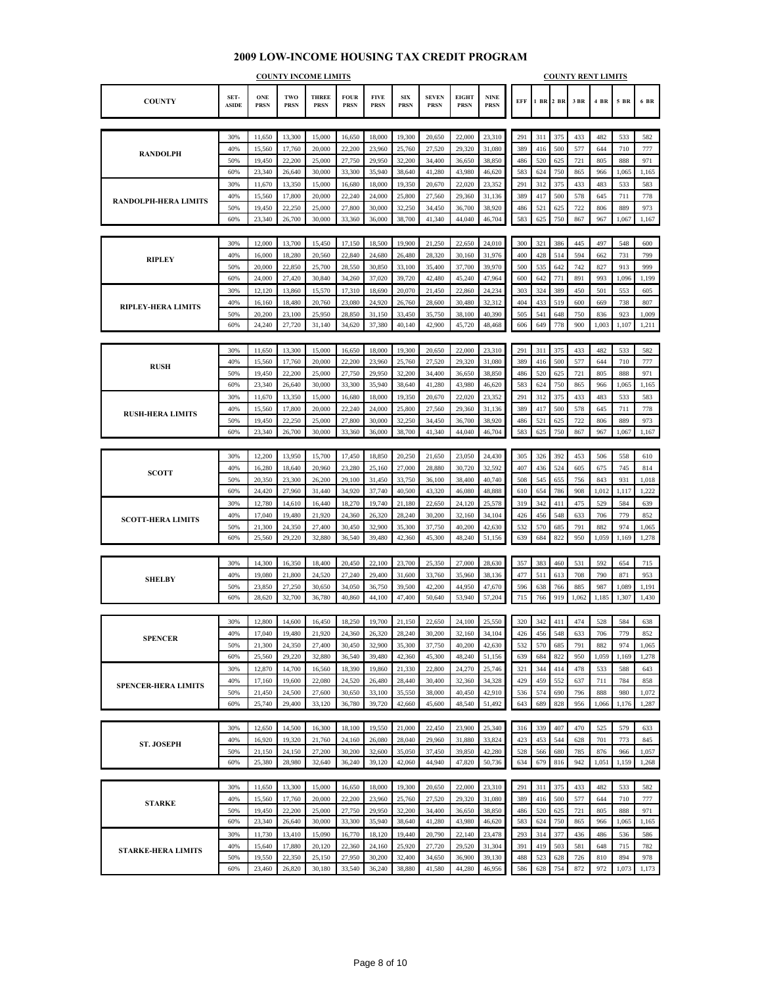#### **COUNTY SET-ASIDE ONE PRSN TWO PRSN THREE PRSN FOUR PRSN FIVE PRSN SIX PRSN SEVEN PRSN EIGHT PRSN NINE PRSN EFF 1 BR 2 BR 3 BR 4 BR 5 BR 6 BR COUNTY INCOME LIMITS COUNTY RENT LIMITS** 30% 11,650 13,300 15,000 16,650 18,000 19,300 20,650 22,000 23,310 291 311 375 433 482 533 582 40% 15,560 17,760 20,000 22,200 23,960 25,760 27,520 29,320 31,080 389 416 500 577 644 710 777 50% 19,450 22,200 25,000 27,750 29,950 32,200 34,400 36,650 38,850 486 520 625 721 805 888 971 60% 23,340 26,640 30,000 33,300 35,940 38,640 41,280 43,980 46,620 583 624 750 865 966 1,065 1,165 30% 11,670 13,350 15,000 16,680 18,000 19,350 20,670 22,020 23,352 291 312 375 433 483 533 583 40% 15,560 17,800 20,000 22,240 24,000 25,800 27,560 29,360 31,136 389 417 500 578 645 711 778 50% | 19,450 | 22,250 | 25,000 | 27,800 | 30,000 | 32,250 | 34,450 | 36,700 | 38,920 | | 486 | 521 | 625 | 722 | 806 | 889 | 973 60% 23,340 26,700 30,000 33,360 36,000 38,700 41,340 44,040 46,704 583 625 750 867 967 1,067 1,167 30% | 12,000 | 13,700 | 15,450 | 17,150 | 18,500 | 19,900 | 21,250 | 22,650 | 24,010 | | 300 | 321 | 386 | 445 | 497 | 548 | 600 40% | 16,000 | 18,280 | 20,560 | 22,840 | 24,680 | 26,480 | 28,320 | 30,160 | 31,976 | | 400 | 428 | 514 | 594 | 662 | 731 | 799 50% 20,000 22,850 25,700 28,550 30,850 33,100 35,400 37,700 39,970 500 535 642 742 827 913 999 60% 24,000 27,420 30,840 34,260 37,020 39,720 42,480 45,240 47,964 600 642 771 891 993 1,096 1,199 30% | 12,120 | 13,860 | 15,570 | 17,310 | 18,690 | 20,070 | 21,450 | 22,860 | 24,234 | | 303 | 324 | 389 | 450 | 501 | 553 | 605 40% 16,160 18,480 20,760 23,080 24,920 26,760 28,600 30,480 32,312 404 433 519 600 669 738 807 50% 20,200 23,100 25,950 28,850 31,150 33,450 35,750 38,100 40,390 505 541 648 750 836 923 1,009 60% 24,240 27,720 31,140 34,620 37,380 40,140 42,900 45,720 48,468 606 649 778 900 1,003 1,107 1,211 30% | 11,650 | 13,300 | 15,000 | 16,650 | 18,000 | 19,300 | 20,650 | 22,000 | 23,310 | | 291 | 311 | 375 | 433 | 482 | 533 | 582 40% | 15,560 | 17,760 | 20,000 | 22,200 | 23,960 | 25,760 | 27,520 | 29,320 | 31,080 | 389 | 416 | 500 | 577 | 644 | 710 | 777 50% 19,450 22,200 25,000 27,750 29,950 32,200 34,400 36,650 38,850 486 520 625 721 805 888 971 60% 23,340 26,640 30,000 33,300 35,940 38,640 41,280 43,980 46,620 583 624 750 865 966 1,065 1,165 30% | 11,670 | 13,350 | 15,000 | 16,680 | 18,000 | 19,350 | 20,670 | 22,020 | 23,352 | | 291 | 312 | 375 | 433 | 483 | 533 | 583 40% | 15,560 | 17,800 | 20,000 | 22,240 | 24,000 | 25,800 | 27,560 | 29,360 | 31,136 | | 389 | 417 | 500 | 578 | 645 | 711 | 778 50% | 19,450 | 22,250 | 25,000 | 27,800 | 30,000 | 32,250 | 34,450 | 36,700 | 38,920 | | 486 | 521 | 625 | 722 | 806 | 889 | 973 60% 23,340 26,700 30,000 33,360 36,000 38,700 41,340 44,040 46,704 583 625 750 867 967 1,067 1,167 30% | 12,200 | 13,950 | 15,700 | 17,450 | 18,850 | 20,250 | 21,650 | 23,050 | 24,430 | 305 | 326 | 392 | 453 | 506 | 558 | 610 40% | 16,280 | 18,640 | 20,960 | 23,280 | 25,160 | 27,000 | 28,880 | 30,720 | 32,592 | | 407 | 436 | 524 | 605 | 675 | 745 | 814 50% 20,350 23,300 26,200 29,100 31,450 33,750 36,100 38,400 40,740 508 545 655 756 843 931 1,018 60% 24,420 27,960 31,440 34,920 37,740 40,500 43,320 46,080 48,888 610 654 786 908 1,012 1,117 1,222 30% | 12,780 | 14,610 | 16,440 | 18,270 | 19,740 | 21,180 | 22,650 | 24,120 | 25,578 | | 319 | 342 | 411 | 475 | 529 | 584 | 639 40% | 17,040 | 19,480 | 21,920 | 24,360 | 26,320 | 28,240 | 30,200 | 32,160 | 34,104 | | 426 | 456 | 548 | 633 | 706 | 779 | 852 50% 21,300 24,350 27,400 30,450 32,900 35,300 37,750 40,200 42,630 532 570 685 791 882 974 1,065 60% 25,560 29,220 32,880 36,540 39,480 42,360 45,300 48,240 51,156 639 684 822 950 1,059 1,169 1,278 30% | 14,300 | 16,350 | 18,400 | 20,450 | 22,100 | 23,700 | 25,350 | 27,000 | 28,630 | 357 | 383 | 460 | 531 | 592 | 654 | 715 40% | 19,080 | 21,800 | 24,520 | 27,240 | 29,400 | 31,600 | 33,760 | 35,960 | 38,136 | | 477 | 511 | 613 | 708 | 709 | 871 | 953 50% 23,850 27,250 30,650 34,050 36,750 39,500 42,200 44,950 47,670 596 638 766 885 987 1,089 1,191 60% 28,620 32,700 36,780 40,860 44,100 47,400 50,640 53,940 57,204 715 766 919 1,062 1,185 1,307 1,430 30% | 12,800 | 14,600 | 16,450 | 18,250 | 19,700 | 21,150 | 22,650 | 24,100 | 25,550 | 320 | 342 | 411 | 474 | 528 | 584 | 638 40% | 17,040 | 19,480 | 21,920 | 24,360 | 26,320 | 28,240 | 30,200 | 32,160 | 34,104 | 426 | 456 | 548 | 633 | 706 | 779 | 852 50% 21,300 24,350 27,400 30,450 32,900 35,300 37,750 40,200 42,630 532 570 685 791 882 974 1,065 60% 25,560 29,220 32,880 36,540 39,480 42,360 45,300 48,240 51,156 639 684 822 950 1,059 1,169 1,278 30% 12,870 14,700 16,560 18,390 19,860 21,330 22,800 24,270 25,746 321 344 414 478 533 588 643 40% | 17,160 | 19,600 | 22,080 | 24,520 | 26,480 | 28,440 | 30,400 | 32,360 | 34,328 | | 429 | 459 | 552 | 637 | 711 | 784 | 858 50% 21,450 24,500 27,600 30,650 33,100 35,550 38,000 40,450 42,910 536 574 690 796 888 980 1,072 60% 25,740 29,400 33,120 36,780 39,720 42,660 45,600 48,540 51,492 643 689 828 956 1,066 1,176 1,287 30% | 12,650 | 14,500 | 16,300 | 18,100 | 19,550 | 21,000 | 22,450 | 23,900 | 25,340 | 316 | 339 | 407 | 470 | 525 | 579 | 633 40% | 16,920 | 19,320 | 21,760 | 24,160 | 26,080 | 28,040 | 29,960 | 31,880 | 33,824 | 423 | 453 | 544 | 628 | 701 | 773 | 845 50% 21,150 24,150 27,200 30,200 32,600 35,050 37,450 39,850 42,280 528 566 680 785 876 966 1,057 60% 25,380 28,980 32,640 36,240 39,120 42,060 44,940 47,820 50,736 634 679 816 942 1,051 1,159 1,268 30% | 11,650 | 13,300 | 15,000 | 16,650 | 18,000 | 19,300 | 20,650 | 22,000 | 23,310 | | 291 | 311 | 375 | 433 | 482 | 533 | 582 40% 15,560 17,760 20,000 22,200 23,960 25,760 27,520 29,320 31,080 389 416 500 577 644 710 777 50% | 19,450 | 22,200 | 25,000 | 27,750 | 29,950 | 32,200 | 34,400 | 36,650 | 38,850 | 486 | 520 | 625 | 721 | 805 | 888 | 971 60% 23,340 26,640 30,000 33,300 35,940 38,640 41,280 43,980 46,620 583 624 750 865 966 1,065 1,165 30% | 11,730 | 13,410 | 15,090 | 16,770 | 18,120 | 19,440 | 20,790 | 22,140 | 23,478 | 293 | 314 | 377 | 436 | 486 | 536 | 586 40% | 15,640 | 17,880 | 20,120 | 22,360 | 24,160 | 25,920 | 27,720 | 29,520 | 31,304 | 391 | 419 | 503 | 581 | 648 | 715 | 782 **STARKE-HERA LIMITS ST. JOSEPH STARKE SHELBY SCOTT-HERA LIMITS SPENCER-HERA LIMITS SPENCER SCOTT RANDOLPH RIPLEY RUSH RANDOLPH-HERA LIMITS RIPLEY-HERA LIMITS RUSH-HERA LIMITS**

50% 19,550 22,350 25,150 27,950 30,200 32,400 34,650 36,900 39,130 488 523 628 726 810 894 978 60% 23,460 26,820 30,180 33,540 36,240 38,880 41,580 44,280 46,956 586 628 754 872 972 1,073 1,173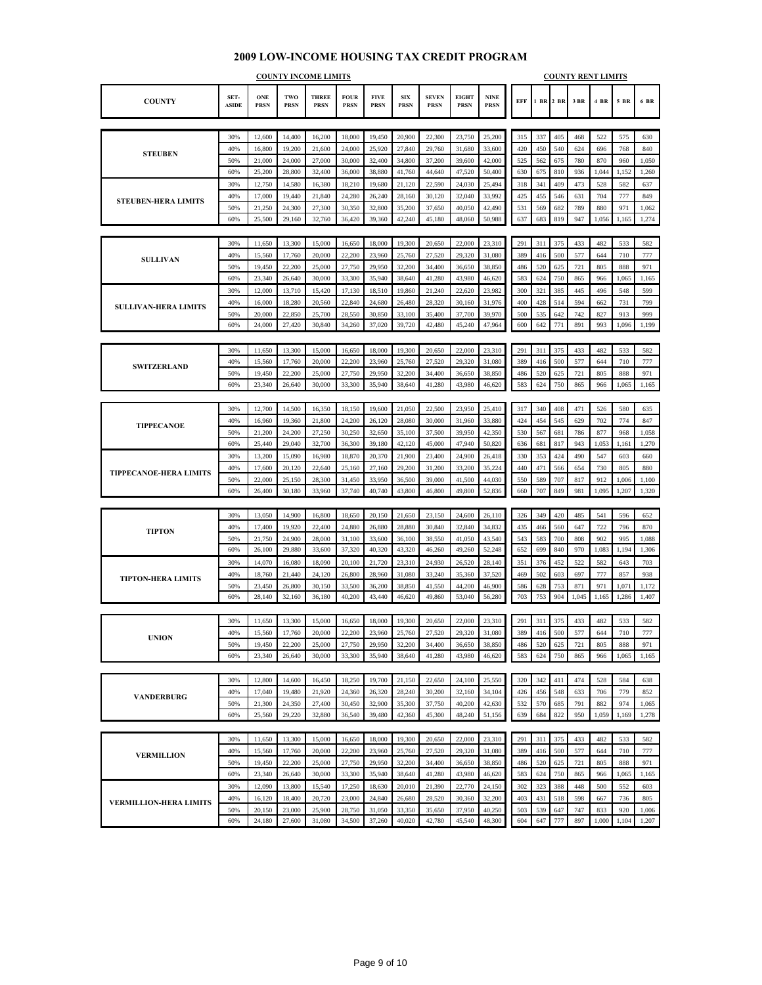#### **COUNTY SET-ASIDE ONE PRSN TWO PRSN THREE PRSN FOUR PRSN FIVE PRSN SIX PRSN SEVEN PRSN EIGHT PRSN NINE PRSN EFF 1 BR 2 BR 3 BR 4 BR 5 BR 6 BR COUNTY INCOME LIMITS COUNTY RENT LIMITS** 30% 12,600 14,400 16,200 18,000 19,450 20,900 22,300 23,750 25,200 315 337 405 468 522 575 630 40% 16,800 19,200 21,600 24,000 25,920 27,840 29,760 31,680 33,600 420 450 540 624 696 768 840 50% 21,000 24,000 27,000 30,000 32,400 34,800 37,200 39,600 42,000 325 562 675 780 870 960 1,050 60% 25,200 28,800 32,400 36,000 38,880 41,760 44,640 47,520 50,400 630 675 810 936 1,044 1,152 1,260 30% 12,750 14,580 16,380 18,210 19,680 21,120 22,590 24,030 25,494 318 341 409 473 528 582 637 40% | 17,000 | 19,440 | 21,840 | 24,280 | 26,240 | 28,160 | 30,120 | 32,040 | 33,992 | | 425 | 455 | 546 | 631 | 704 | 777 | 849 50% 21,250 24,300 27,300 30,350 32,800 35,200 37,650 40,050 42,490 531 569 682 789 880 971 1,062 60% 25,500 29,160 32,760 36,420 39,360 42,240 45,180 48,060 50,988 637 683 819 947 1,056 1,165 1,274 30% | 11,650 | 13,300 | 15,000 | 16,650 | 18,000 | 19,300 | 20,650 | 22,000 | 23,310 | | 291 | 311 | 375 | 433 | 482 | 533 | 582 40% | 15,560 | 17,760 | 20,000 | 22,200 | 23,960 | 25,760 | 27,520 | 29,320 | 31,080 | 389 | 416 | 500 | 577 | 644 | 710 | 777 50% 19,450 22,200 25,000 27,750 29,950 32,200 34,400 36,650 38,850 486 520 625 721 805 888 971 60% 23,340 26,640 30,000 33,300 35,940 38,640 41,280 43,980 46,620 583 624 750 865 966 1,065 1,165 30% | 12,000 | 13,710 | 15,420 | 17,130 | 18,510 | 19,860 | 21,240 | 22,620 | 23,982 | | 300 | 321 | 385 | 445 | 445 | 496 | 548 | 599 40% 16,000 18,280 20,560 22,840 24,680 26,480 28,320 30,160 31,976 400 428 514 594 662 731 799 50% 20,000 22,850 25,700 28,550 30,850 33,100 35,400 37,700 39,970 500 535 642 742 827 913 999 60% 24,000 27,420 30,840 34,260 37,020 39,720 42,480 45,240 47,964 600 642 771 891 993 1,096 1,199 30% | 11,650 | 13,300 | 15,000 | 16,650 | 18,000 | 19,300 | 20,650 | 22,000 | 23,310 | | 291 | 311 | 375 | 433 | 482 | 533 | 582 40% | 15,560 | 17,760 | 20,000 | 22,200 | 23,960 | 25,760 | 27,520 | 29,320 | 31,080 | 389 | 416 | 500 | 577 | 644 | 710 | 777 50% 19,450 22,200 25,000 27,750 29,950 32,200 34,400 36,650 38,850 486 520 625 721 805 888 971 60% 23,340 26,640 30,000 33,300 35,940 38,640 41,280 43,980 46,620 583 624 750 865 966 1,065 1,165 30% | 12,700 | 14,500 | 16,350 | 18,150 | 19,600 | 21,050 | 22,500 | 23,950 | 25,410 | | 317 | 340 | 408 | 471 | 526 | 580 | 635 40% | 16,960 | 19,360 | 21,800 | 24,200 | 26,120 | 28,080 | 30,000 | 31,960 | 33,880 | | 424 | 454 | 545 | 629 | 702 | 774 | 847 50% 21,200 24,200 27,250 30,250 32,650 35,100 37,500 39,950 42,350 530 567 681 786 877 968 1,058 60% 25,440 29,040 32,700 36,300 39,180 42,120 45,000 47,940 50,820 636 681 817 943 1,053 1,161 1,270 30% | 13,200 | 15,090 | 16,980 | 18,870 | 20,370 | 21,900 | 23,400 | 24,900 | 26,418 | 330 | 353 | 424 | 490 | 547 | 603 | 660 40% | 17,600 | 20,120 | 22,640 | 25,160 | 27,160 | 29,200 | 31,200 | 33,200 | 35,224 | | 440 | 471 | 566 | 654 | 730 | 805 | 880 50% 22,000 25,150 28,300 31,450 33,950 36,500 39,000 41,500 44,030 550 589 707 817 912 1,006 1,100 60% 26,400 30,180 33,960 37,740 40,740 43,800 46,800 49,800 52,836 660 707 849 981 1,095 1,207 1,320 30% | 13,050 | 14,900 | 16,800 | 18,650 | 20,150 | 21,650 | 23,150 | 24,600 | 26,110 | | 326 | 349 | 420 | 485 | 541 | 596 | 652 40% | 17,400 | 19,920 | 22,400 | 24,880 | 26,880 | 28,880 | 30,840 | 32,840 | 34,832 | 435 | 466 | 560 | 647 | 722 | 796 | 870 50% 21,750 24,900 28,000 31,100 33,600 36,100 38,550 41,050 43,540 543 583 700 808 902 995 1,088 60% 26,100 29,880 33,600 37,320 40,320 43,320 46,260 49,260 52,248 652 699 840 970 1,083 1,194 1,306 30% 14,070 16,080 18,090 20,100 21,720 23,310 24,930 26,520 28,140 351 376 452 522 582 643 703 40% | 18,760 | 21,440 | 24,120 | 26,800 | 28,960 | 31,080 | 33,240 | 35,360 | 37,520 | | 469 | 502 | 603 | 697 | 777 | 857 | 938 50% 23,450 26,800 30,150 33,500 36,200 38,850 41,550 44,200 46,900 586 628 753 871 971 1,071 1,172 60% 28,140 32,160 36,180 40,200 43,440 46,620 49,860 53,040 56,280 703 753 904 1,045 1,165 1,286 1,407 30% | 11,650 | 13,300 | 15,000 | 16,650 | 18,000 | 19,300 | 20,650 | 22,000 | 23,310 | | 291 | 311 | 375 | 433 | 482 | 533 | 582 40% | 15,560 | 17,760 | 20,000 | 22,200 | 23,960 | 25,760 | 27,520 | 29,320 | 31,080 | 389 | 416 | 500 | 577 | 644 | 710 | 777 50% 19,450 22,200 25,000 27,750 29,950 32,200 34,400 36,650 38,850 486 520 625 721 805 888 971 60% 23,340 26,640 30,000 33,300 35,940 38,640 41,280 43,980 46,620 583 624 750 865 966 1,065 1,165 30% | 12,800 | 14,600 | 16,450 | 18,250 | 19,700 | 21,150 | 22,650 | 24,100 | 25,550 | 320 | 342 | 411 | 474 | 528 | 584 | 638 40% | 17,040 | 19,480 | 21,920 | 24,360 | 26,320 | 28,240 | 30,200 | 32,160 | 34,104 | | 426 | 456 | 548 | 633 | 706 | 779 | 852 50% 21,300 24,350 27,400 30,450 32,900 35,300 37,750 40,200 42,630 532 570 685 791 882 974 1,065 60% 25,560 29,220 32,880 36,540 39,480 42,360 45,300 48,240 51,156 639 684 822 950 1,059 1,169 1,278 30% | 11,650 | 13,300 | 15,000 | 16,650 | 18,000 | 19,300 | 20,650 | 22,000 | 23,310 | | 291 | 311 | 375 | 433 | 482 | 533 | 582 40% | 15,560 | 17,760 | 20,000 | 22,200 | 23,960 | 25,760 | 27,520 | 29,320 | 31,080 | 389 | 416 | 500 | 577 | 644 | 710 | 777 50% | 19,450 | 22,200 | 25,000 | 27,750 | 29,950 | 32,200 | 34,400 | 36,650 | 38,850 | 486 | 520 | 625 | 721 | 805 | 888 | 971 60% 23,340 26,640 30,000 33,300 35,940 38,640 41,280 43,980 46,620 583 624 750 865 966 1,065 1,165 30% | 12,090 | 13,800 | 15,540 | 17,250 | 18,630 | 20,010 | 21,390 | 22,770 | 24,150 | 302 | 323 | 388 | 448 | 500 | 552 | 603 40% | 16,120 | 18,400 | 20,720 | 23,000 | 24,840 | 26,680 | 28,520 | 30,360 | 32,200 | | 403 | 431 | 518 | 598 | 667 | 736 | 805 50% 20,150 23,000 25,900 28,750 31,050 33,350 35,650 37,950 40,250 503 539 647 747 833 920 1,006 **STEUBEN-HERA LIMITS SULLIVAN-HERA LIMITS TIPPECANOE-HERA LIMITS TIPTON-HERA LIMITS VERMILLION-HERA LIMITS SULLIVAN SWITZERLAND STEUBEN TIPPECANOE TIPTON UNION VANDERBURG VERMILLION**

60% 24,180 27,600 31,080 34,500 37,260 40,020 42,780 45,540 48,300 604 647 777 897 1,000 1,104 1,207